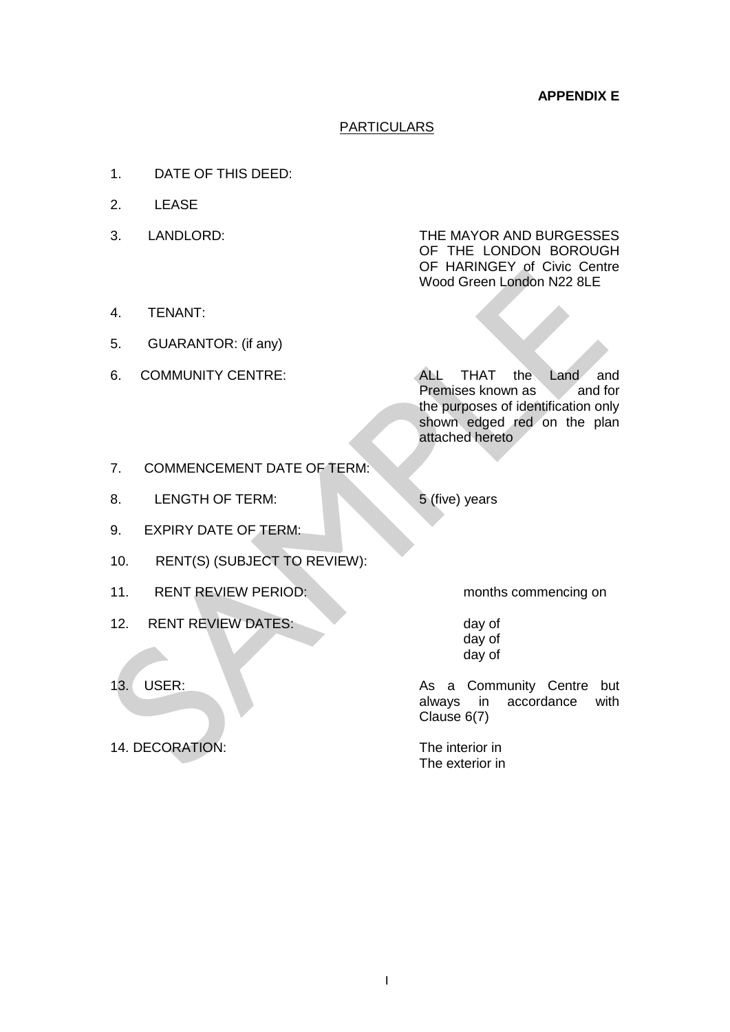# PARTICULARS

- 1. DATE OF THIS DEED:
- 2. LEASE
- 

3. LANDLORD: THE MAYOR AND BURGESSES OF THE LONDON BOROUGH OF HARINGEY of Civic Centre Wood Green London N22 8LE

- 4. TENANT:
- 5. GUARANTOR: (if any)
- 

6. COMMUNITY CENTRE: ALL THAT the Land and Premises known as and for the purposes of identification only shown edged red on the plan attached hereto

- 7. COMMENCEMENT DATE OF TERM:
- 8. LENGTH OF TERM: 5 (five) years
- 9. EXPIRY DATE OF TERM:
- 10. RENT(S) (SUBJECT TO REVIEW):
- 11. RENT REVIEW PERIOD: months commencing on
- 12. RENT REVIEW DATES: day of
- 
- 14. DECORATION: The interior in

day of day of

13. USER: As a Community Centre but always in accordance with Clause 6(7)

The exterior in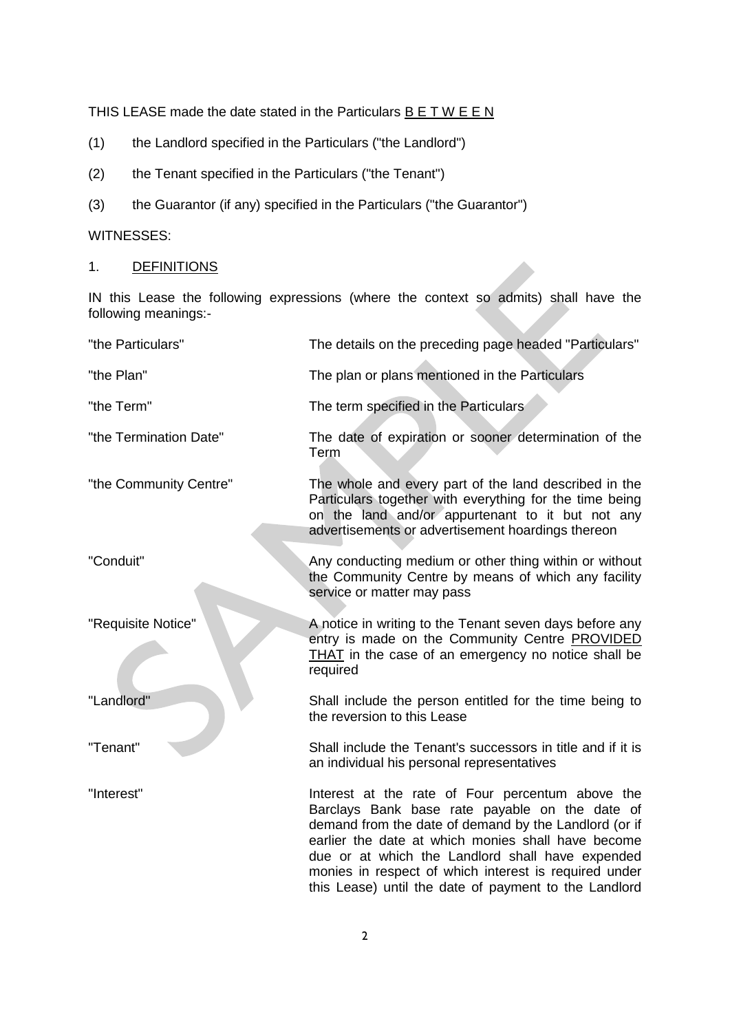THIS LEASE made the date stated in the Particulars  $B E T W E E N$ 

- (1) the Landlord specified in the Particulars ("the Landlord")
- (2) the Tenant specified in the Particulars ("the Tenant")
- (3) the Guarantor (if any) specified in the Particulars ("the Guarantor")

# WITNESSES:

1. DEFINITIONS

IN this Lease the following expressions (where the context so admits) shall have the following meanings:-

| "the Particulars"      | The details on the preceding page headed "Particulars"                                                                                                                                                                                                                                                                                                                                  |
|------------------------|-----------------------------------------------------------------------------------------------------------------------------------------------------------------------------------------------------------------------------------------------------------------------------------------------------------------------------------------------------------------------------------------|
| "the Plan"             | The plan or plans mentioned in the Particulars                                                                                                                                                                                                                                                                                                                                          |
| "the Term"             | The term specified in the Particulars                                                                                                                                                                                                                                                                                                                                                   |
| "the Termination Date" | The date of expiration or sooner determination of the<br>Term                                                                                                                                                                                                                                                                                                                           |
| "the Community Centre" | The whole and every part of the land described in the<br>Particulars together with everything for the time being<br>on the land and/or appurtenant to it but not any<br>advertisements or advertisement hoardings thereon                                                                                                                                                               |
| "Conduit"              | Any conducting medium or other thing within or without<br>the Community Centre by means of which any facility<br>service or matter may pass                                                                                                                                                                                                                                             |
| "Requisite Notice"     | A notice in writing to the Tenant seven days before any<br>entry is made on the Community Centre PROVIDED<br>THAT in the case of an emergency no notice shall be<br>required                                                                                                                                                                                                            |
| "Landlord"             | Shall include the person entitled for the time being to<br>the reversion to this Lease                                                                                                                                                                                                                                                                                                  |
| "Tenant"               | Shall include the Tenant's successors in title and if it is<br>an individual his personal representatives                                                                                                                                                                                                                                                                               |
| "Interest"             | Interest at the rate of Four percentum above the<br>Barclays Bank base rate payable on the date of<br>demand from the date of demand by the Landlord (or if<br>earlier the date at which monies shall have become<br>due or at which the Landlord shall have expended<br>monies in respect of which interest is required under<br>this Lease) until the date of payment to the Landlord |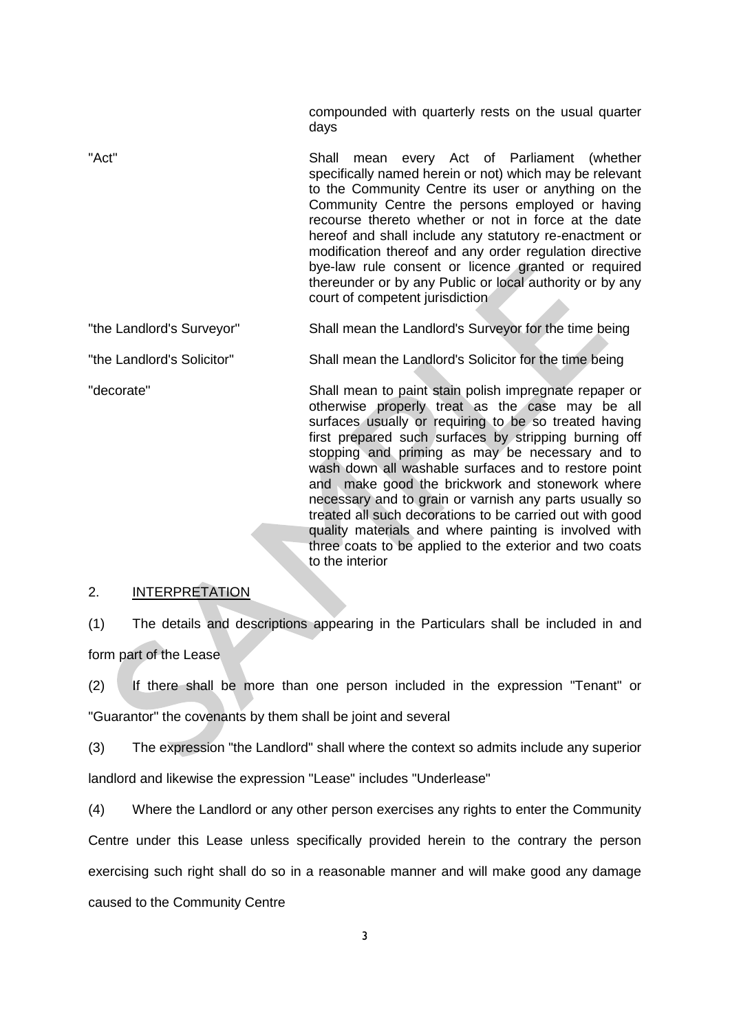compounded with quarterly rests on the usual quarter days

"Act" Shall mean every Act of Parliament (whether specifically named herein or not) which may be relevant to the Community Centre its user or anything on the Community Centre the persons employed or having recourse thereto whether or not in force at the date hereof and shall include any statutory re-enactment or modification thereof and any order regulation directive bye-law rule consent or licence granted or required thereunder or by any Public or local authority or by any court of competent jurisdiction

"the Landlord's Surveyor" Shall mean the Landlord's Surveyor for the time being

"the Landlord's Solicitor" Shall mean the Landlord's Solicitor for the time being

"decorate" Shall mean to paint stain polish impregnate repaper or otherwise properly treat as the case may be all surfaces usually or requiring to be so treated having first prepared such surfaces by stripping burning off stopping and priming as may be necessary and to wash down all washable surfaces and to restore point and make good the brickwork and stonework where necessary and to grain or varnish any parts usually so treated all such decorations to be carried out with good quality materials and where painting is involved with three coats to be applied to the exterior and two coats to the interior

### 2. INTERPRETATION

(1) The details and descriptions appearing in the Particulars shall be included in and form part of the Lease

(2) If there shall be more than one person included in the expression "Tenant" or "Guarantor" the covenants by them shall be joint and several

(3) The expression "the Landlord" shall where the context so admits include any superior landlord and likewise the expression "Lease" includes "Underlease"

(4) Where the Landlord or any other person exercises any rights to enter the Community

Centre under this Lease unless specifically provided herein to the contrary the person exercising such right shall do so in a reasonable manner and will make good any damage caused to the Community Centre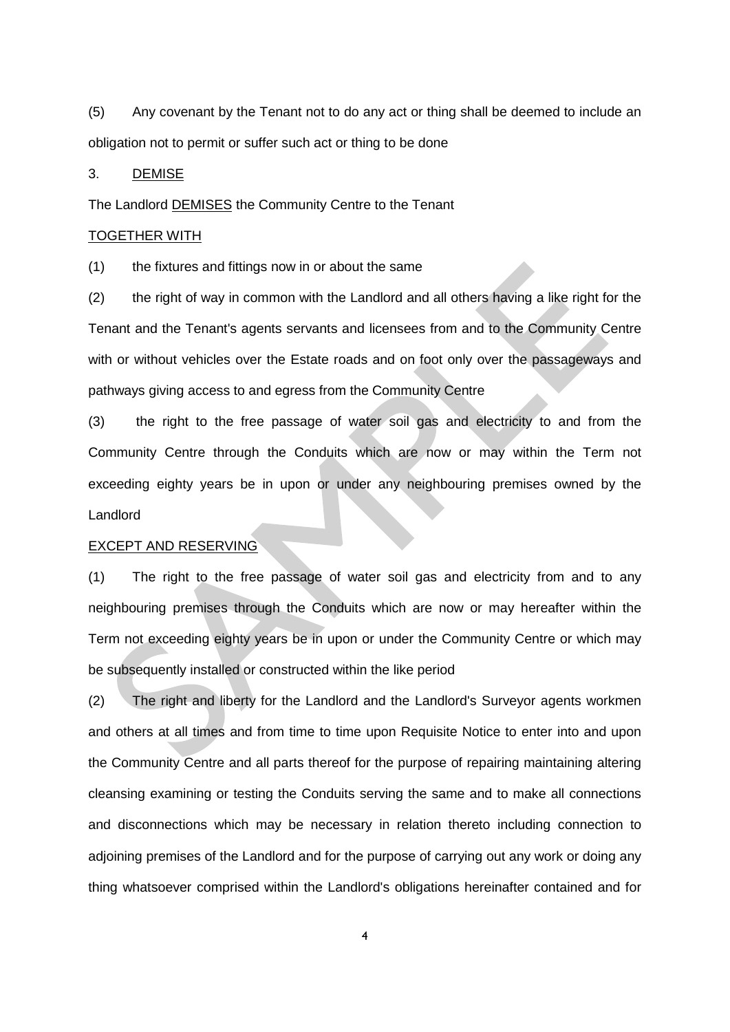(5) Any covenant by the Tenant not to do any act or thing shall be deemed to include an obligation not to permit or suffer such act or thing to be done

### 3. DEMISE

The Landlord DEMISES the Community Centre to the Tenant

## TOGETHER WITH

(1) the fixtures and fittings now in or about the same

(2) the right of way in common with the Landlord and all others having a like right for the Tenant and the Tenant's agents servants and licensees from and to the Community Centre with or without vehicles over the Estate roads and on foot only over the passageways and pathways giving access to and egress from the Community Centre

(3) the right to the free passage of water soil gas and electricity to and from the Community Centre through the Conduits which are now or may within the Term not exceeding eighty years be in upon or under any neighbouring premises owned by the Landlord

# EXCEPT AND RESERVING

(1) The right to the free passage of water soil gas and electricity from and to any neighbouring premises through the Conduits which are now or may hereafter within the Term not exceeding eighty years be in upon or under the Community Centre or which may be subsequently installed or constructed within the like period

(2) The right and liberty for the Landlord and the Landlord's Surveyor agents workmen and others at all times and from time to time upon Requisite Notice to enter into and upon the Community Centre and all parts thereof for the purpose of repairing maintaining altering cleansing examining or testing the Conduits serving the same and to make all connections and disconnections which may be necessary in relation thereto including connection to adjoining premises of the Landlord and for the purpose of carrying out any work or doing any thing whatsoever comprised within the Landlord's obligations hereinafter contained and for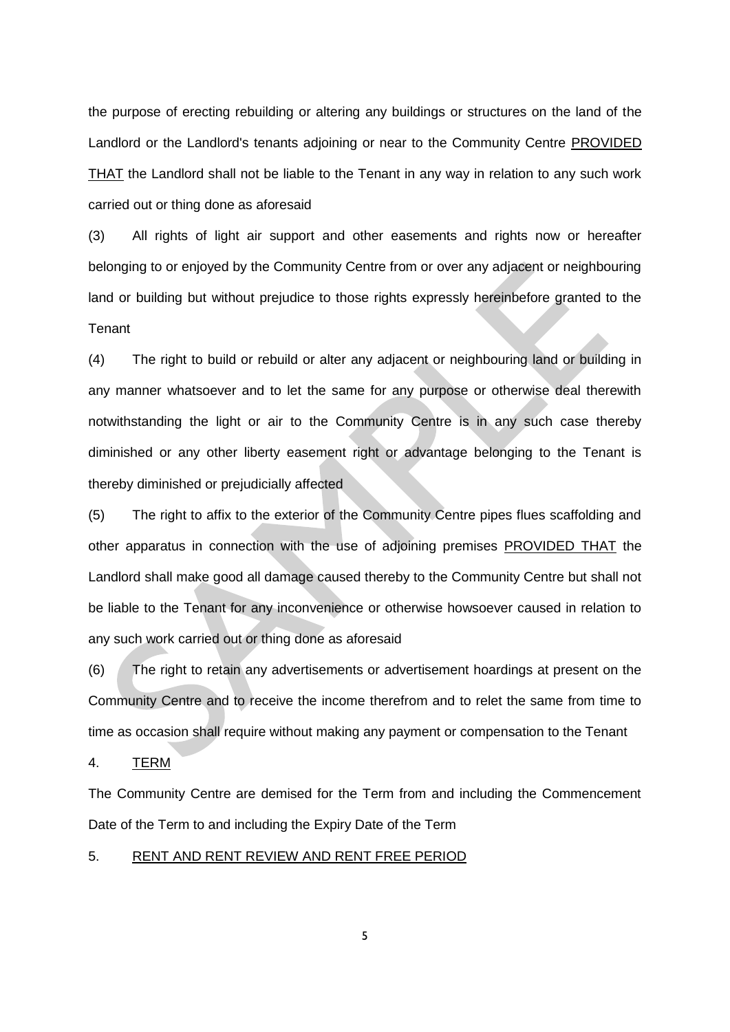the purpose of erecting rebuilding or altering any buildings or structures on the land of the Landlord or the Landlord's tenants adjoining or near to the Community Centre PROVIDED THAT the Landlord shall not be liable to the Tenant in any way in relation to any such work carried out or thing done as aforesaid

(3) All rights of light air support and other easements and rights now or hereafter belonging to or enjoyed by the Community Centre from or over any adjacent or neighbouring land or building but without prejudice to those rights expressly hereinbefore granted to the **Tenant** 

(4) The right to build or rebuild or alter any adjacent or neighbouring land or building in any manner whatsoever and to let the same for any purpose or otherwise deal therewith notwithstanding the light or air to the Community Centre is in any such case thereby diminished or any other liberty easement right or advantage belonging to the Tenant is thereby diminished or prejudicially affected

(5) The right to affix to the exterior of the Community Centre pipes flues scaffolding and other apparatus in connection with the use of adjoining premises PROVIDED THAT the Landlord shall make good all damage caused thereby to the Community Centre but shall not be liable to the Tenant for any inconvenience or otherwise howsoever caused in relation to any such work carried out or thing done as aforesaid

(6) The right to retain any advertisements or advertisement hoardings at present on the Community Centre and to receive the income therefrom and to relet the same from time to time as occasion shall require without making any payment or compensation to the Tenant

4. TERM

The Community Centre are demised for the Term from and including the Commencement Date of the Term to and including the Expiry Date of the Term

#### 5. RENT AND RENT REVIEW AND RENT FREE PERIOD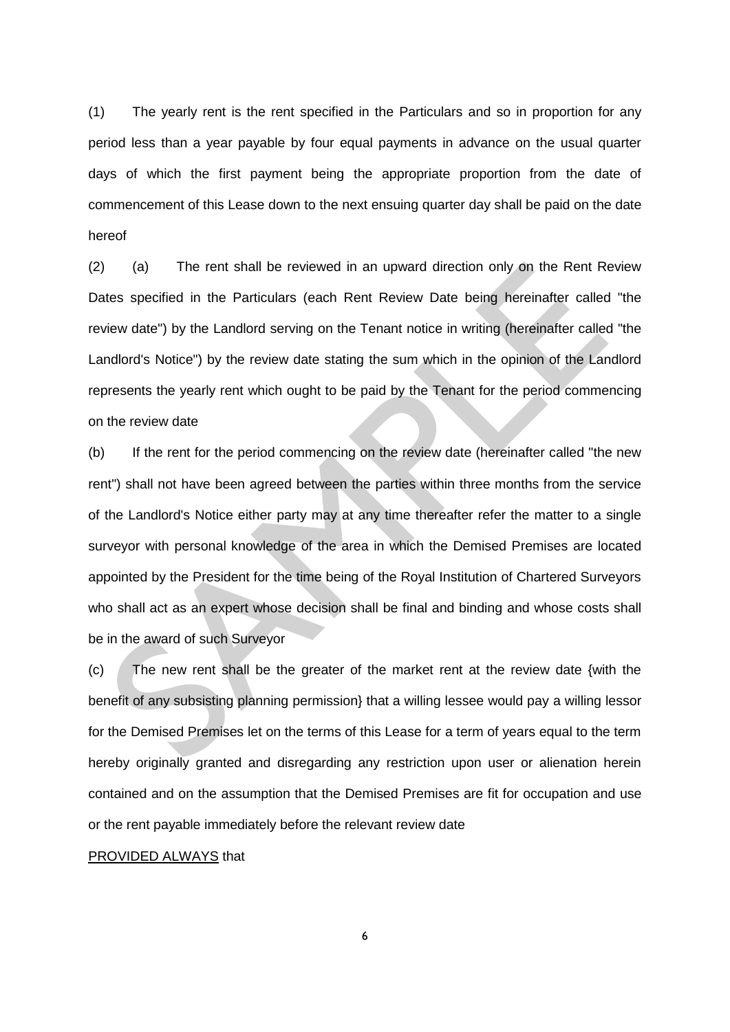(1) The yearly rent is the rent specified in the Particulars and so in proportion for any period less than a year payable by four equal payments in advance on the usual quarter days of which the first payment being the appropriate proportion from the date of commencement of this Lease down to the next ensuing quarter day shall be paid on the date hereof

(2) (a) The rent shall be reviewed in an upward direction only on the Rent Review Dates specified in the Particulars (each Rent Review Date being hereinafter called "the review date") by the Landlord serving on the Tenant notice in writing (hereinafter called "the Landlord's Notice") by the review date stating the sum which in the opinion of the Landlord represents the yearly rent which ought to be paid by the Tenant for the period commencing on the review date

(b) If the rent for the period commencing on the review date (hereinafter called "the new rent") shall not have been agreed between the parties within three months from the service of the Landlord's Notice either party may at any time thereafter refer the matter to a single surveyor with personal knowledge of the area in which the Demised Premises are located appointed by the President for the time being of the Royal Institution of Chartered Surveyors who shall act as an expert whose decision shall be final and binding and whose costs shall be in the award of such Surveyor

(c) The new rent shall be the greater of the market rent at the review date {with the benefit of any subsisting planning permission} that a willing lessee would pay a willing lessor for the Demised Premises let on the terms of this Lease for a term of years equal to the term hereby originally granted and disregarding any restriction upon user or alienation herein contained and on the assumption that the Demised Premises are fit for occupation and use or the rent payable immediately before the relevant review date

#### PROVIDED ALWAYS that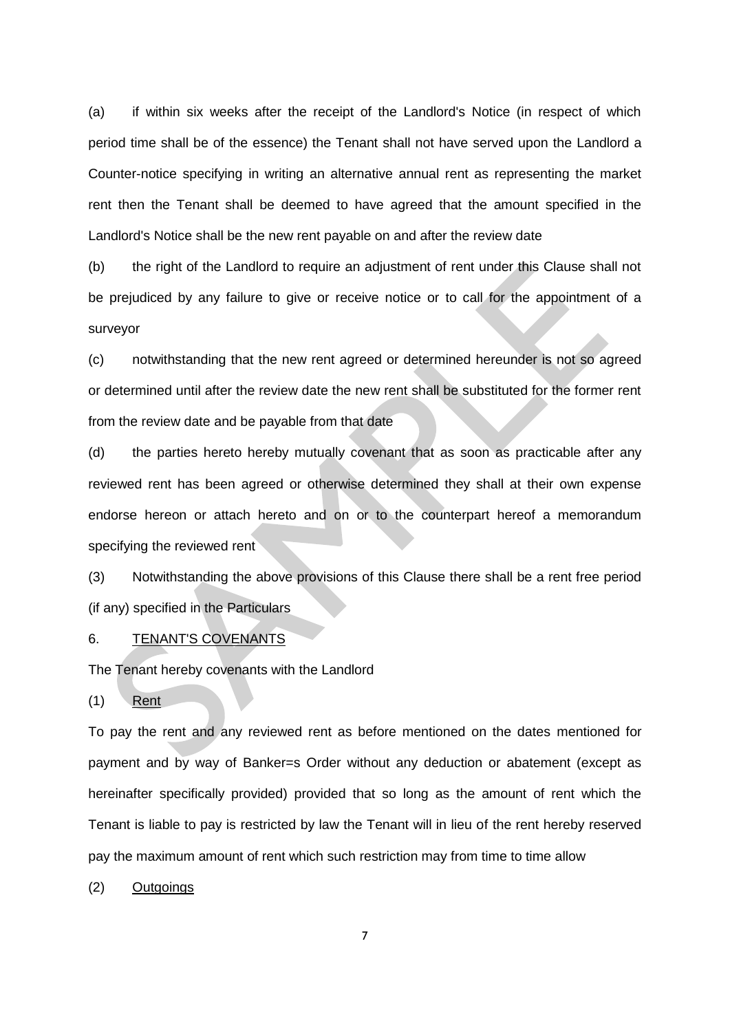(a) if within six weeks after the receipt of the Landlord's Notice (in respect of which period time shall be of the essence) the Tenant shall not have served upon the Landlord a Counter-notice specifying in writing an alternative annual rent as representing the market rent then the Tenant shall be deemed to have agreed that the amount specified in the Landlord's Notice shall be the new rent payable on and after the review date

(b) the right of the Landlord to require an adjustment of rent under this Clause shall not be prejudiced by any failure to give or receive notice or to call for the appointment of a surveyor

(c) notwithstanding that the new rent agreed or determined hereunder is not so agreed or determined until after the review date the new rent shall be substituted for the former rent from the review date and be payable from that date

(d) the parties hereto hereby mutually covenant that as soon as practicable after any reviewed rent has been agreed or otherwise determined they shall at their own expense endorse hereon or attach hereto and on or to the counterpart hereof a memorandum specifying the reviewed rent

(3) Notwithstanding the above provisions of this Clause there shall be a rent free period (if any) specified in the Particulars

#### 6. TENANT'S COVENANTS

The Tenant hereby covenants with the Landlord

(1) Rent

To pay the rent and any reviewed rent as before mentioned on the dates mentioned for payment and by way of Banker=s Order without any deduction or abatement (except as hereinafter specifically provided) provided that so long as the amount of rent which the Tenant is liable to pay is restricted by law the Tenant will in lieu of the rent hereby reserved pay the maximum amount of rent which such restriction may from time to time allow

(2) Outgoings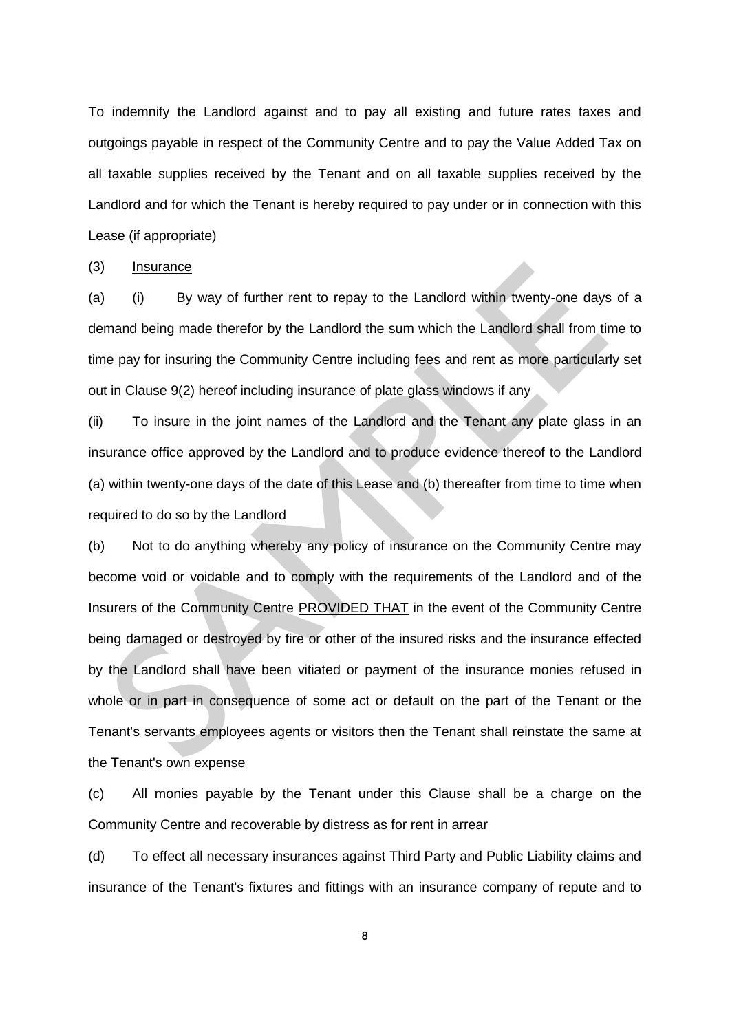To indemnify the Landlord against and to pay all existing and future rates taxes and outgoings payable in respect of the Community Centre and to pay the Value Added Tax on all taxable supplies received by the Tenant and on all taxable supplies received by the Landlord and for which the Tenant is hereby required to pay under or in connection with this Lease (if appropriate)

(3) Insurance

(a) (i) By way of further rent to repay to the Landlord within twenty-one days of a demand being made therefor by the Landlord the sum which the Landlord shall from time to time pay for insuring the Community Centre including fees and rent as more particularly set out in Clause 9(2) hereof including insurance of plate glass windows if any

(ii) To insure in the joint names of the Landlord and the Tenant any plate glass in an insurance office approved by the Landlord and to produce evidence thereof to the Landlord (a) within twenty-one days of the date of this Lease and (b) thereafter from time to time when required to do so by the Landlord

(b) Not to do anything whereby any policy of insurance on the Community Centre may become void or voidable and to comply with the requirements of the Landlord and of the Insurers of the Community Centre PROVIDED THAT in the event of the Community Centre being damaged or destroyed by fire or other of the insured risks and the insurance effected by the Landlord shall have been vitiated or payment of the insurance monies refused in whole or in part in consequence of some act or default on the part of the Tenant or the Tenant's servants employees agents or visitors then the Tenant shall reinstate the same at the Tenant's own expense

(c) All monies payable by the Tenant under this Clause shall be a charge on the Community Centre and recoverable by distress as for rent in arrear

(d) To effect all necessary insurances against Third Party and Public Liability claims and insurance of the Tenant's fixtures and fittings with an insurance company of repute and to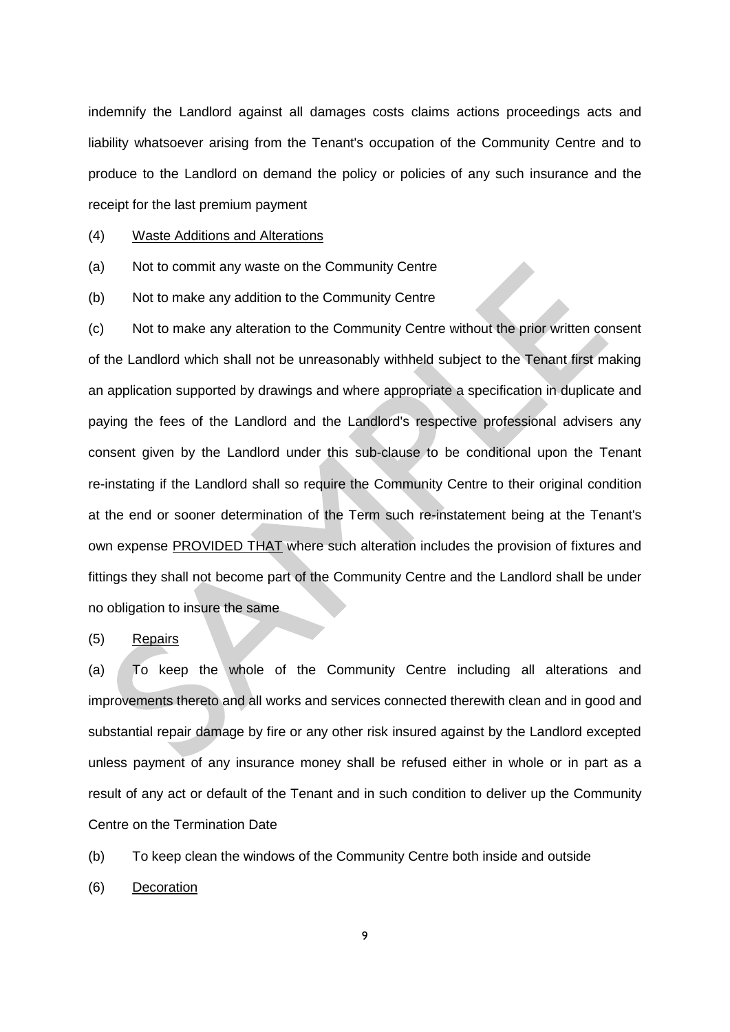indemnify the Landlord against all damages costs claims actions proceedings acts and liability whatsoever arising from the Tenant's occupation of the Community Centre and to produce to the Landlord on demand the policy or policies of any such insurance and the receipt for the last premium payment

## (4) Waste Additions and Alterations

(a) Not to commit any waste on the Community Centre

(b) Not to make any addition to the Community Centre

(c) Not to make any alteration to the Community Centre without the prior written consent of the Landlord which shall not be unreasonably withheld subject to the Tenant first making an application supported by drawings and where appropriate a specification in duplicate and paying the fees of the Landlord and the Landlord's respective professional advisers any consent given by the Landlord under this sub-clause to be conditional upon the Tenant re-instating if the Landlord shall so require the Community Centre to their original condition at the end or sooner determination of the Term such re-instatement being at the Tenant's own expense PROVIDED THAT where such alteration includes the provision of fixtures and fittings they shall not become part of the Community Centre and the Landlord shall be under no obligation to insure the same

#### (5) Repairs

(a) To keep the whole of the Community Centre including all alterations and improvements thereto and all works and services connected therewith clean and in good and substantial repair damage by fire or any other risk insured against by the Landlord excepted unless payment of any insurance money shall be refused either in whole or in part as a result of any act or default of the Tenant and in such condition to deliver up the Community Centre on the Termination Date

(b) To keep clean the windows of the Community Centre both inside and outside

(6) Decoration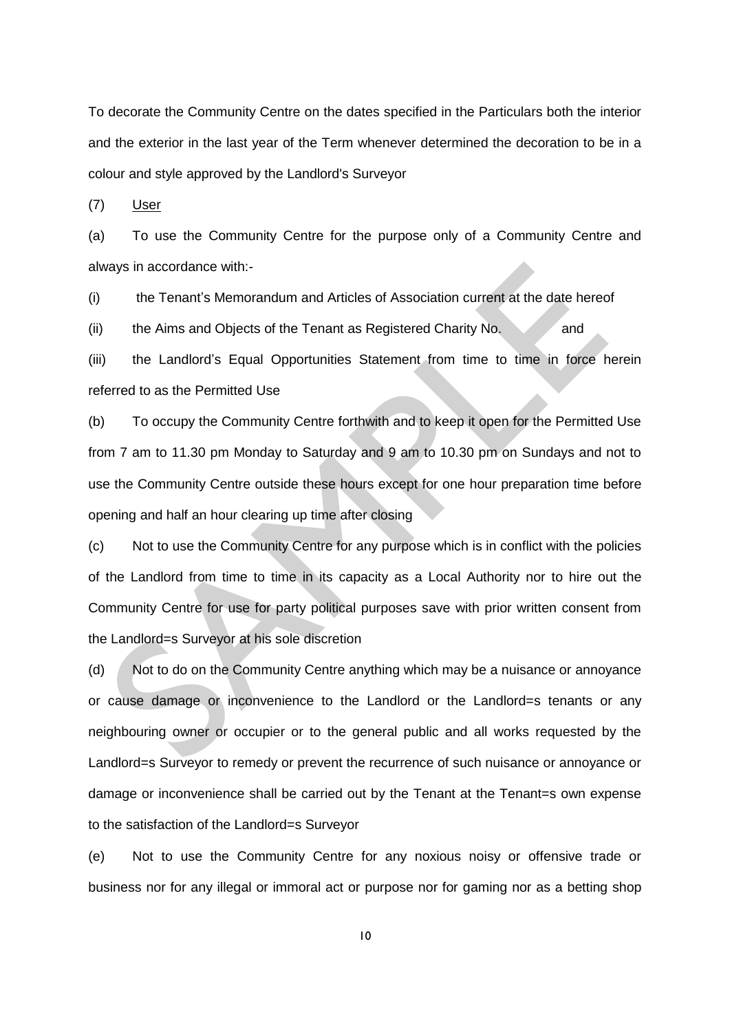To decorate the Community Centre on the dates specified in the Particulars both the interior and the exterior in the last year of the Term whenever determined the decoration to be in a colour and style approved by the Landlord's Surveyor

(7) User

(a) To use the Community Centre for the purpose only of a Community Centre and always in accordance with:-

(i) the Tenant's Memorandum and Articles of Association current at the date hereof

 $(iii)$  the Aims and Objects of the Tenant as Registered Charity No.  $\blacksquare$  and

(iii) the Landlord's Equal Opportunities Statement from time to time in force herein referred to as the Permitted Use

(b) To occupy the Community Centre forthwith and to keep it open for the Permitted Use from 7 am to 11.30 pm Monday to Saturday and 9 am to 10.30 pm on Sundays and not to use the Community Centre outside these hours except for one hour preparation time before opening and half an hour clearing up time after closing

(c) Not to use the Community Centre for any purpose which is in conflict with the policies of the Landlord from time to time in its capacity as a Local Authority nor to hire out the Community Centre for use for party political purposes save with prior written consent from the Landlord=s Surveyor at his sole discretion

(d) Not to do on the Community Centre anything which may be a nuisance or annoyance or cause damage or inconvenience to the Landlord or the Landlord=s tenants or any neighbouring owner or occupier or to the general public and all works requested by the Landlord=s Surveyor to remedy or prevent the recurrence of such nuisance or annoyance or damage or inconvenience shall be carried out by the Tenant at the Tenant=s own expense to the satisfaction of the Landlord=s Surveyor

(e) Not to use the Community Centre for any noxious noisy or offensive trade or business nor for any illegal or immoral act or purpose nor for gaming nor as a betting shop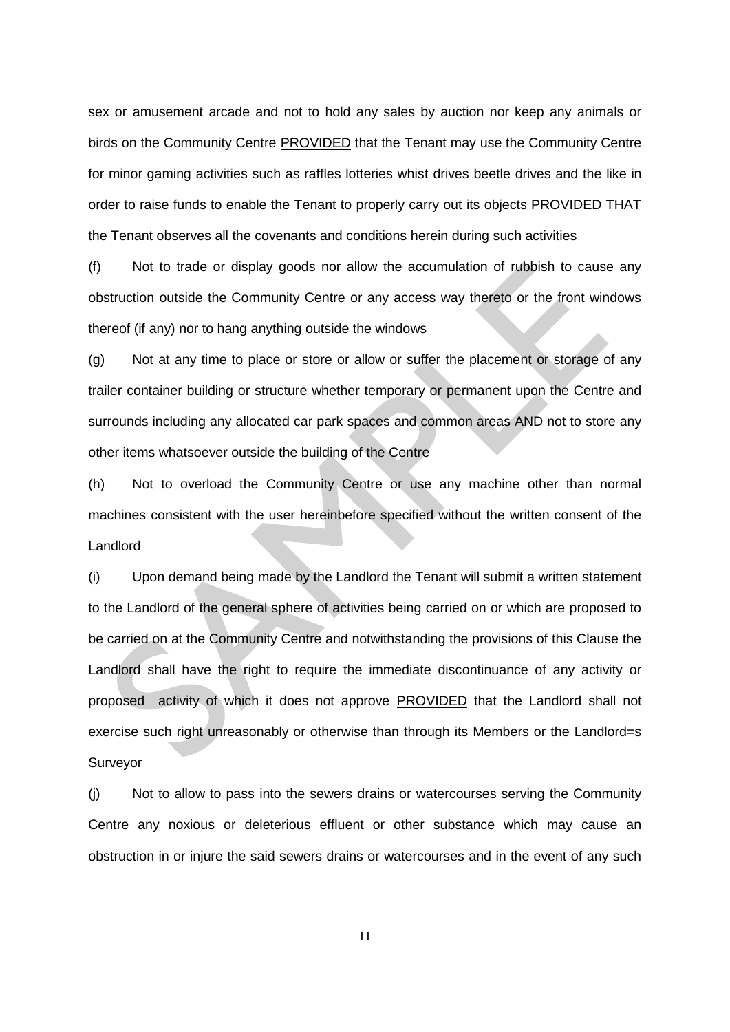sex or amusement arcade and not to hold any sales by auction nor keep any animals or birds on the Community Centre PROVIDED that the Tenant may use the Community Centre for minor gaming activities such as raffles lotteries whist drives beetle drives and the like in order to raise funds to enable the Tenant to properly carry out its objects PROVIDED THAT the Tenant observes all the covenants and conditions herein during such activities

(f) Not to trade or display goods nor allow the accumulation of rubbish to cause any obstruction outside the Community Centre or any access way thereto or the front windows thereof (if any) nor to hang anything outside the windows

(g) Not at any time to place or store or allow or suffer the placement or storage of any trailer container building or structure whether temporary or permanent upon the Centre and surrounds including any allocated car park spaces and common areas AND not to store any other items whatsoever outside the building of the Centre

(h) Not to overload the Community Centre or use any machine other than normal machines consistent with the user hereinbefore specified without the written consent of the Landlord

(i) Upon demand being made by the Landlord the Tenant will submit a written statement to the Landlord of the general sphere of activities being carried on or which are proposed to be carried on at the Community Centre and notwithstanding the provisions of this Clause the Landlord shall have the right to require the immediate discontinuance of any activity or proposed activity of which it does not approve PROVIDED that the Landlord shall not exercise such right unreasonably or otherwise than through its Members or the Landlord=s Surveyor

(j) Not to allow to pass into the sewers drains or watercourses serving the Community Centre any noxious or deleterious effluent or other substance which may cause an obstruction in or injure the said sewers drains or watercourses and in the event of any such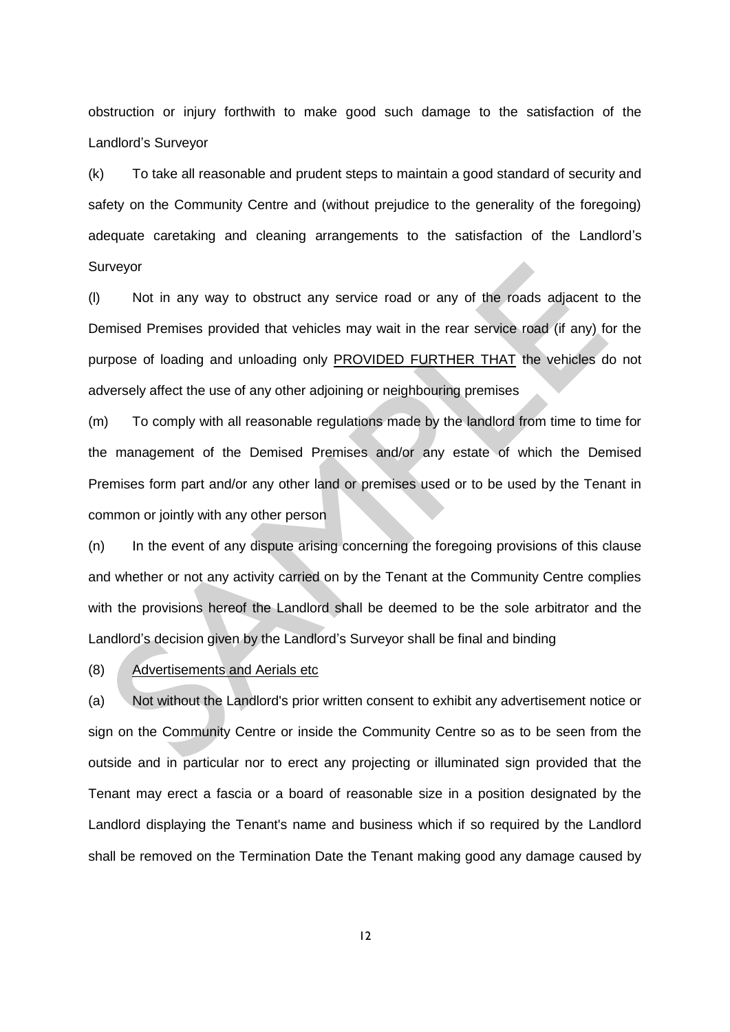obstruction or injury forthwith to make good such damage to the satisfaction of the Landlord's Surveyor

(k) To take all reasonable and prudent steps to maintain a good standard of security and safety on the Community Centre and (without prejudice to the generality of the foregoing) adequate caretaking and cleaning arrangements to the satisfaction of the Landlord's Surveyor

(l) Not in any way to obstruct any service road or any of the roads adjacent to the Demised Premises provided that vehicles may wait in the rear service road (if any) for the purpose of loading and unloading only PROVIDED FURTHER THAT the vehicles do not adversely affect the use of any other adjoining or neighbouring premises

(m) To comply with all reasonable regulations made by the landlord from time to time for the management of the Demised Premises and/or any estate of which the Demised Premises form part and/or any other land or premises used or to be used by the Tenant in common or jointly with any other person

(n) In the event of any dispute arising concerning the foregoing provisions of this clause and whether or not any activity carried on by the Tenant at the Community Centre complies with the provisions hereof the Landlord shall be deemed to be the sole arbitrator and the Landlord's decision given by the Landlord's Surveyor shall be final and binding

(8) Advertisements and Aerials etc

(a) Not without the Landlord's prior written consent to exhibit any advertisement notice or sign on the Community Centre or inside the Community Centre so as to be seen from the outside and in particular nor to erect any projecting or illuminated sign provided that the Tenant may erect a fascia or a board of reasonable size in a position designated by the Landlord displaying the Tenant's name and business which if so required by the Landlord shall be removed on the Termination Date the Tenant making good any damage caused by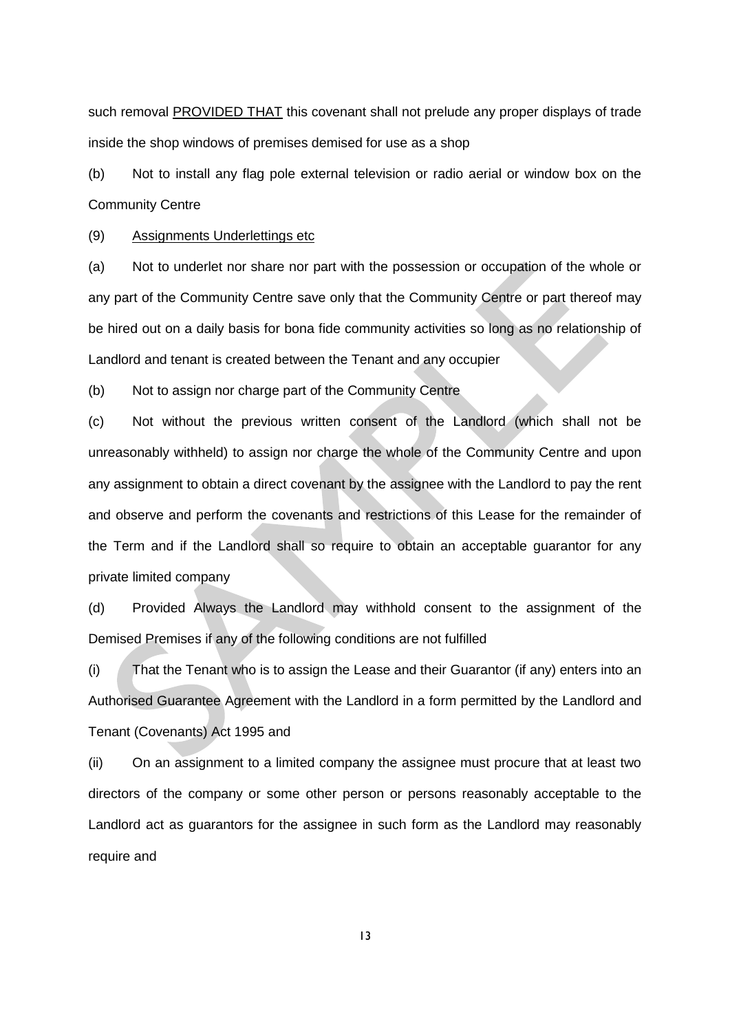such removal **PROVIDED THAT** this covenant shall not prelude any proper displays of trade inside the shop windows of premises demised for use as a shop

(b) Not to install any flag pole external television or radio aerial or window box on the Community Centre

(9) Assignments Underlettings etc

(a) Not to underlet nor share nor part with the possession or occupation of the whole or any part of the Community Centre save only that the Community Centre or part thereof may be hired out on a daily basis for bona fide community activities so long as no relationship of Landlord and tenant is created between the Tenant and any occupier

(b) Not to assign nor charge part of the Community Centre

(c) Not without the previous written consent of the Landlord (which shall not be unreasonably withheld) to assign nor charge the whole of the Community Centre and upon any assignment to obtain a direct covenant by the assignee with the Landlord to pay the rent and observe and perform the covenants and restrictions of this Lease for the remainder of the Term and if the Landlord shall so require to obtain an acceptable guarantor for any private limited company

(d) Provided Always the Landlord may withhold consent to the assignment of the Demised Premises if any of the following conditions are not fulfilled

(i) That the Tenant who is to assign the Lease and their Guarantor (if any) enters into an Authorised Guarantee Agreement with the Landlord in a form permitted by the Landlord and Tenant (Covenants) Act 1995 and

(ii) On an assignment to a limited company the assignee must procure that at least two directors of the company or some other person or persons reasonably acceptable to the Landlord act as guarantors for the assignee in such form as the Landlord may reasonably require and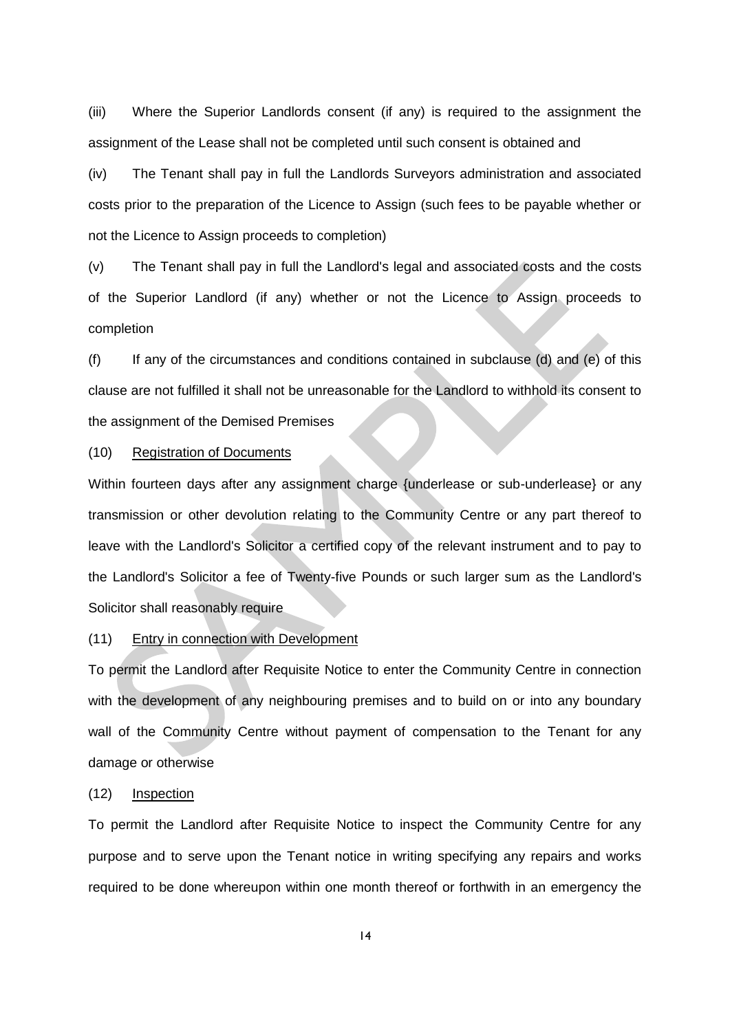(iii) Where the Superior Landlords consent (if any) is required to the assignment the assignment of the Lease shall not be completed until such consent is obtained and

(iv) The Tenant shall pay in full the Landlords Surveyors administration and associated costs prior to the preparation of the Licence to Assign (such fees to be payable whether or not the Licence to Assign proceeds to completion)

(v) The Tenant shall pay in full the Landlord's legal and associated costs and the costs of the Superior Landlord (if any) whether or not the Licence to Assign proceeds to completion

(f) If any of the circumstances and conditions contained in subclause (d) and (e) of this clause are not fulfilled it shall not be unreasonable for the Landlord to withhold its consent to the assignment of the Demised Premises

### (10) Registration of Documents

Within fourteen days after any assignment charge {underlease or sub-underlease} or any transmission or other devolution relating to the Community Centre or any part thereof to leave with the Landlord's Solicitor a certified copy of the relevant instrument and to pay to the Landlord's Solicitor a fee of Twenty-five Pounds or such larger sum as the Landlord's Solicitor shall reasonably require

### (11) Entry in connection with Development

To permit the Landlord after Requisite Notice to enter the Community Centre in connection with the development of any neighbouring premises and to build on or into any boundary wall of the Community Centre without payment of compensation to the Tenant for any damage or otherwise

#### (12) Inspection

To permit the Landlord after Requisite Notice to inspect the Community Centre for any purpose and to serve upon the Tenant notice in writing specifying any repairs and works required to be done whereupon within one month thereof or forthwith in an emergency the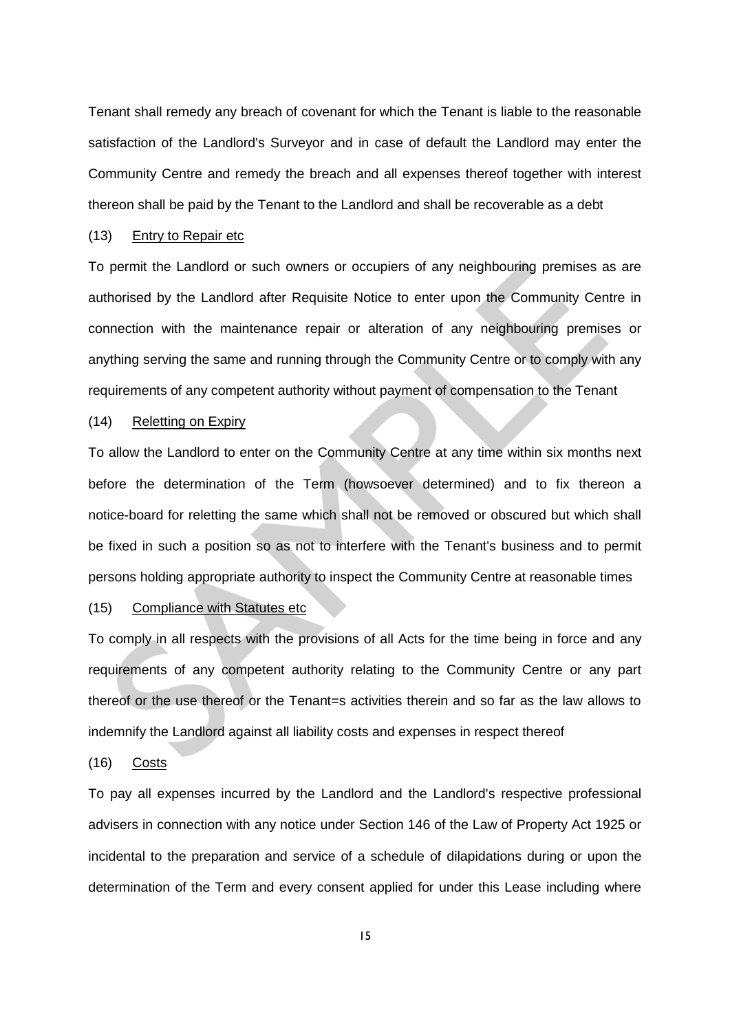Tenant shall remedy any breach of covenant for which the Tenant is liable to the reasonable satisfaction of the Landlord's Surveyor and in case of default the Landlord may enter the Community Centre and remedy the breach and all expenses thereof together with interest thereon shall be paid by the Tenant to the Landlord and shall be recoverable as a debt

### (13) Entry to Repair etc

To permit the Landlord or such owners or occupiers of any neighbouring premises as are authorised by the Landlord after Requisite Notice to enter upon the Community Centre in connection with the maintenance repair or alteration of any neighbouring premises or anything serving the same and running through the Community Centre or to comply with any requirements of any competent authority without payment of compensation to the Tenant

### (14) Reletting on Expiry

To allow the Landlord to enter on the Community Centre at any time within six months next before the determination of the Term (howsoever determined) and to fix thereon a notice-board for reletting the same which shall not be removed or obscured but which shall be fixed in such a position so as not to interfere with the Tenant's business and to permit persons holding appropriate authority to inspect the Community Centre at reasonable times

### (15) Compliance with Statutes etc

To comply in all respects with the provisions of all Acts for the time being in force and any requirements of any competent authority relating to the Community Centre or any part thereof or the use thereof or the Tenant=s activities therein and so far as the law allows to indemnify the Landlord against all liability costs and expenses in respect thereof

#### (16) Costs

To pay all expenses incurred by the Landlord and the Landlord's respective professional advisers in connection with any notice under Section 146 of the Law of Property Act 1925 or incidental to the preparation and service of a schedule of dilapidations during or upon the determination of the Term and every consent applied for under this Lease including where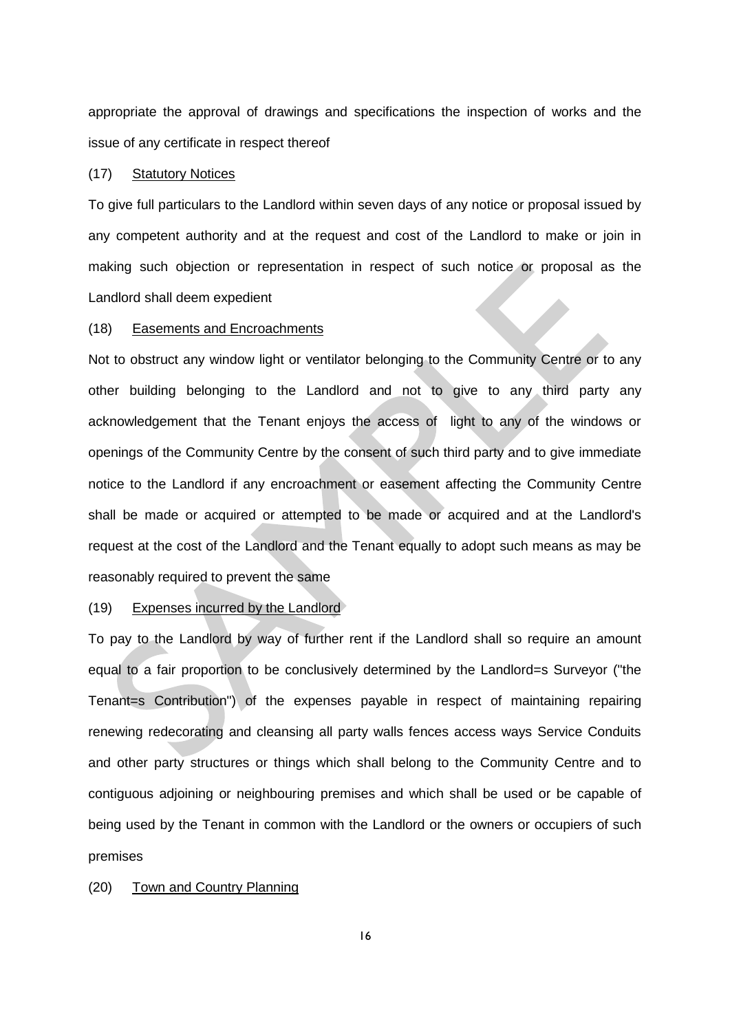appropriate the approval of drawings and specifications the inspection of works and the issue of any certificate in respect thereof

### (17) Statutory Notices

To give full particulars to the Landlord within seven days of any notice or proposal issued by any competent authority and at the request and cost of the Landlord to make or join in making such objection or representation in respect of such notice or proposal as the Landlord shall deem expedient

### (18) Easements and Encroachments

Not to obstruct any window light or ventilator belonging to the Community Centre or to any other building belonging to the Landlord and not to give to any third party any acknowledgement that the Tenant enjoys the access of light to any of the windows or openings of the Community Centre by the consent of such third party and to give immediate notice to the Landlord if any encroachment or easement affecting the Community Centre shall be made or acquired or attempted to be made or acquired and at the Landlord's request at the cost of the Landlord and the Tenant equally to adopt such means as may be reasonably required to prevent the same

#### (19) Expenses incurred by the Landlord

To pay to the Landlord by way of further rent if the Landlord shall so require an amount equal to a fair proportion to be conclusively determined by the Landlord=s Surveyor ("the Tenant=s Contribution") of the expenses payable in respect of maintaining repairing renewing redecorating and cleansing all party walls fences access ways Service Conduits and other party structures or things which shall belong to the Community Centre and to contiguous adjoining or neighbouring premises and which shall be used or be capable of being used by the Tenant in common with the Landlord or the owners or occupiers of such premises

#### (20) Town and Country Planning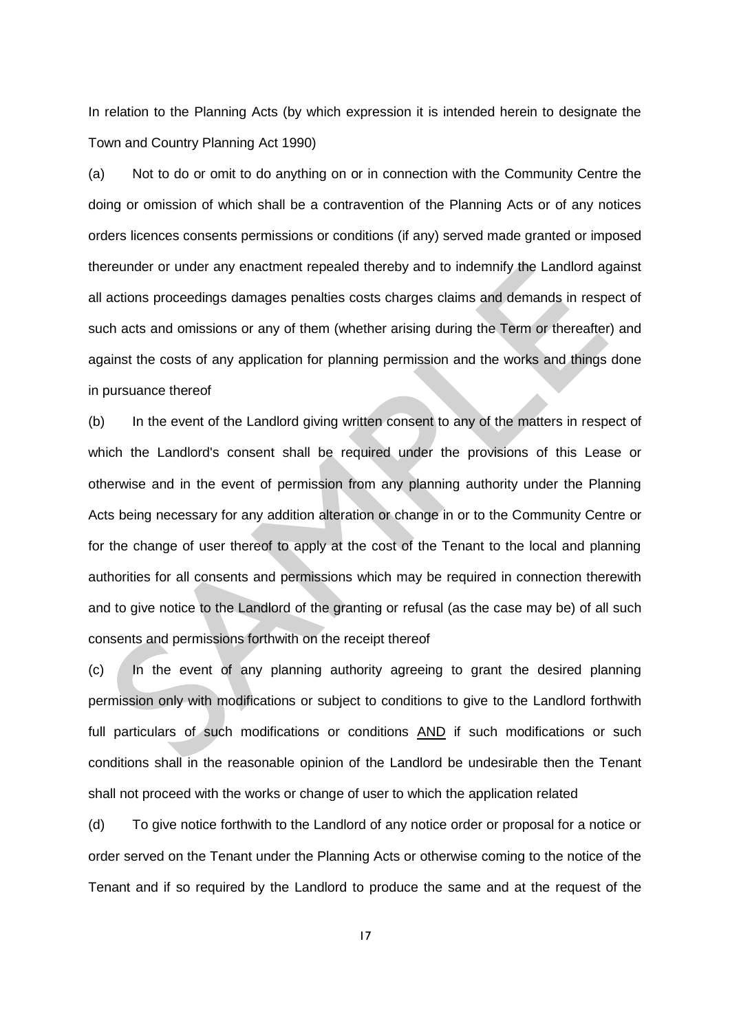In relation to the Planning Acts (by which expression it is intended herein to designate the Town and Country Planning Act 1990)

(a) Not to do or omit to do anything on or in connection with the Community Centre the doing or omission of which shall be a contravention of the Planning Acts or of any notices orders licences consents permissions or conditions (if any) served made granted or imposed thereunder or under any enactment repealed thereby and to indemnify the Landlord against all actions proceedings damages penalties costs charges claims and demands in respect of such acts and omissions or any of them (whether arising during the Term or thereafter) and against the costs of any application for planning permission and the works and things done in pursuance thereof

(b) In the event of the Landlord giving written consent to any of the matters in respect of which the Landlord's consent shall be required under the provisions of this Lease or otherwise and in the event of permission from any planning authority under the Planning Acts being necessary for any addition alteration or change in or to the Community Centre or for the change of user thereof to apply at the cost of the Tenant to the local and planning authorities for all consents and permissions which may be required in connection therewith and to give notice to the Landlord of the granting or refusal (as the case may be) of all such consents and permissions forthwith on the receipt thereof

(c) In the event of any planning authority agreeing to grant the desired planning permission only with modifications or subject to conditions to give to the Landlord forthwith full particulars of such modifications or conditions AND if such modifications or such conditions shall in the reasonable opinion of the Landlord be undesirable then the Tenant shall not proceed with the works or change of user to which the application related

(d) To give notice forthwith to the Landlord of any notice order or proposal for a notice or order served on the Tenant under the Planning Acts or otherwise coming to the notice of the Tenant and if so required by the Landlord to produce the same and at the request of the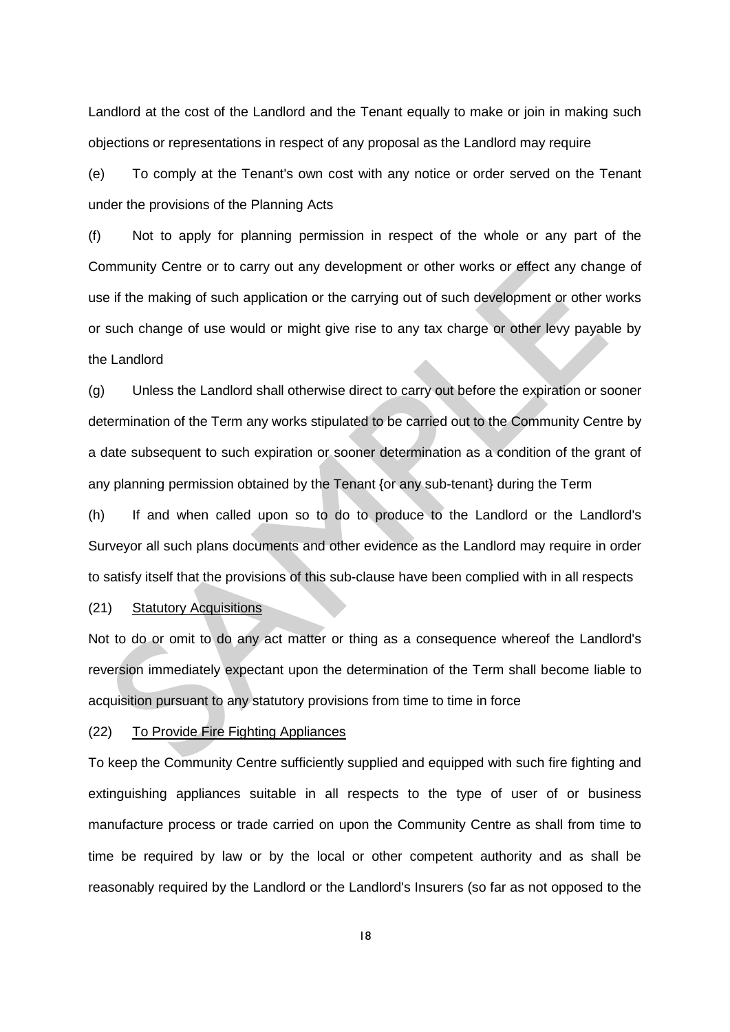Landlord at the cost of the Landlord and the Tenant equally to make or join in making such objections or representations in respect of any proposal as the Landlord may require

(e) To comply at the Tenant's own cost with any notice or order served on the Tenant under the provisions of the Planning Acts

(f) Not to apply for planning permission in respect of the whole or any part of the Community Centre or to carry out any development or other works or effect any change of use if the making of such application or the carrying out of such development or other works or such change of use would or might give rise to any tax charge or other levy payable by the Landlord

(g) Unless the Landlord shall otherwise direct to carry out before the expiration or sooner determination of the Term any works stipulated to be carried out to the Community Centre by a date subsequent to such expiration or sooner determination as a condition of the grant of any planning permission obtained by the Tenant {or any sub-tenant} during the Term

(h) If and when called upon so to do to produce to the Landlord or the Landlord's Surveyor all such plans documents and other evidence as the Landlord may require in order to satisfy itself that the provisions of this sub-clause have been complied with in all respects

#### (21) Statutory Acquisitions

Not to do or omit to do any act matter or thing as a consequence whereof the Landlord's reversion immediately expectant upon the determination of the Term shall become liable to acquisition pursuant to any statutory provisions from time to time in force

### (22) To Provide Fire Fighting Appliances

To keep the Community Centre sufficiently supplied and equipped with such fire fighting and extinguishing appliances suitable in all respects to the type of user of or business manufacture process or trade carried on upon the Community Centre as shall from time to time be required by law or by the local or other competent authority and as shall be reasonably required by the Landlord or the Landlord's Insurers (so far as not opposed to the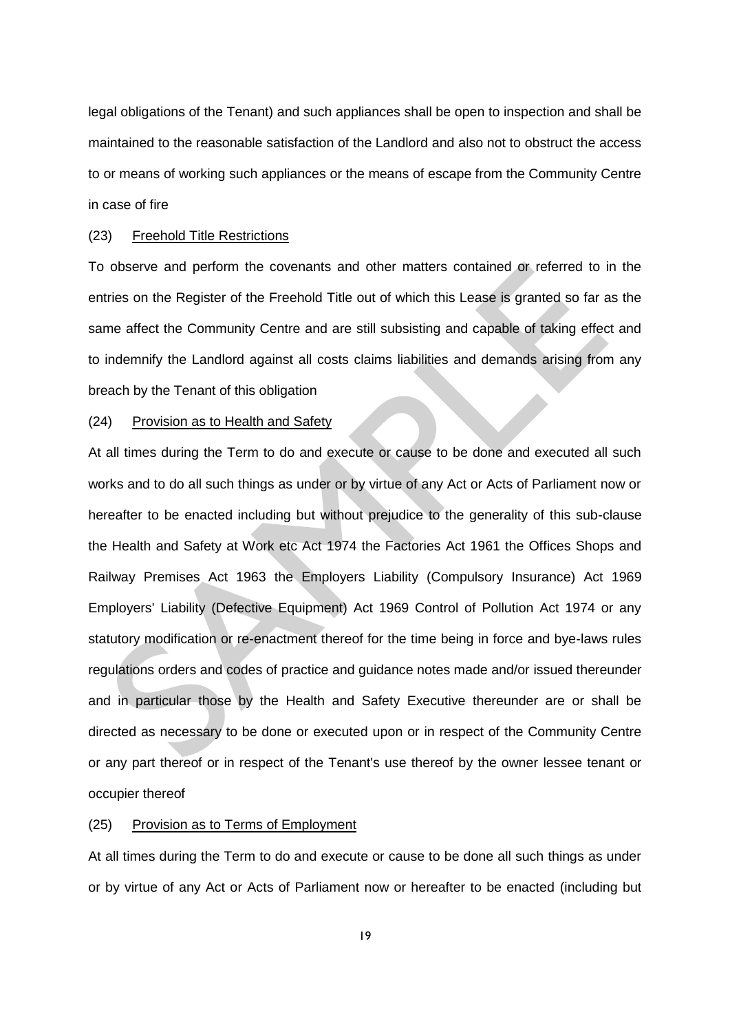legal obligations of the Tenant) and such appliances shall be open to inspection and shall be maintained to the reasonable satisfaction of the Landlord and also not to obstruct the access to or means of working such appliances or the means of escape from the Community Centre in case of fire

### (23) Freehold Title Restrictions

To observe and perform the covenants and other matters contained or referred to in the entries on the Register of the Freehold Title out of which this Lease is granted so far as the same affect the Community Centre and are still subsisting and capable of taking effect and to indemnify the Landlord against all costs claims liabilities and demands arising from any breach by the Tenant of this obligation

#### (24) Provision as to Health and Safety

At all times during the Term to do and execute or cause to be done and executed all such works and to do all such things as under or by virtue of any Act or Acts of Parliament now or hereafter to be enacted including but without prejudice to the generality of this sub-clause the Health and Safety at Work etc Act 1974 the Factories Act 1961 the Offices Shops and Railway Premises Act 1963 the Employers Liability (Compulsory Insurance) Act 1969 Employers' Liability (Defective Equipment) Act 1969 Control of Pollution Act 1974 or any statutory modification or re-enactment thereof for the time being in force and bye-laws rules regulations orders and codes of practice and guidance notes made and/or issued thereunder and in particular those by the Health and Safety Executive thereunder are or shall be directed as necessary to be done or executed upon or in respect of the Community Centre or any part thereof or in respect of the Tenant's use thereof by the owner lessee tenant or occupier thereof

### (25) Provision as to Terms of Employment

At all times during the Term to do and execute or cause to be done all such things as under or by virtue of any Act or Acts of Parliament now or hereafter to be enacted (including but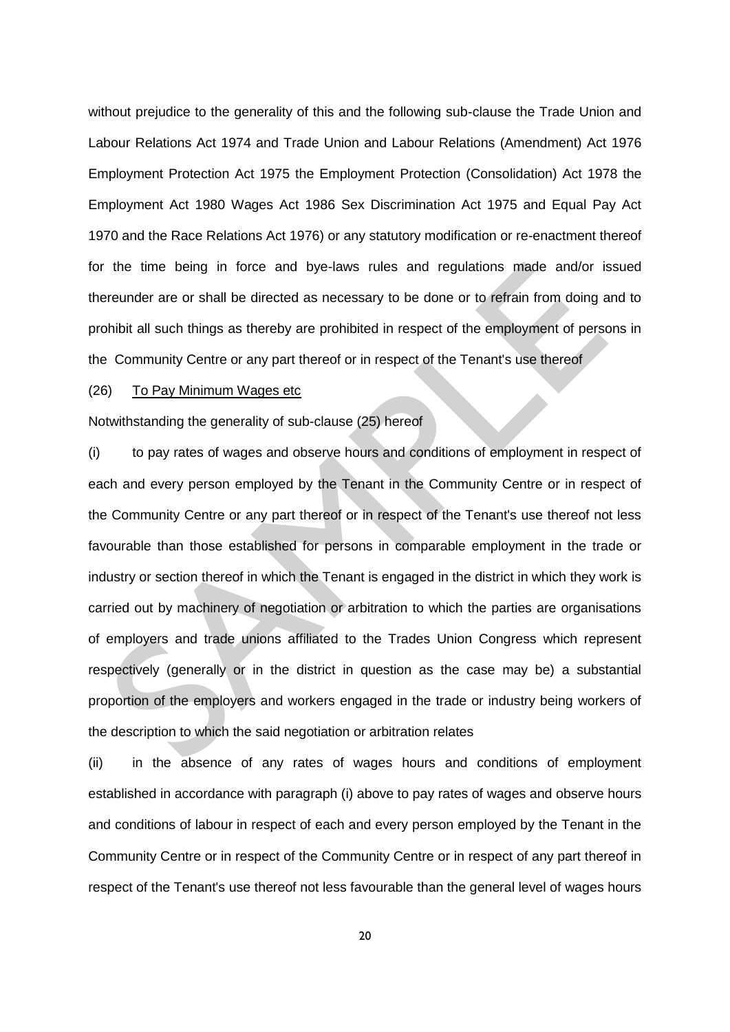without prejudice to the generality of this and the following sub-clause the Trade Union and Labour Relations Act 1974 and Trade Union and Labour Relations (Amendment) Act 1976 Employment Protection Act 1975 the Employment Protection (Consolidation) Act 1978 the Employment Act 1980 Wages Act 1986 Sex Discrimination Act 1975 and Equal Pay Act 1970 and the Race Relations Act 1976) or any statutory modification or re-enactment thereof for the time being in force and bye-laws rules and regulations made and/or issued thereunder are or shall be directed as necessary to be done or to refrain from doing and to prohibit all such things as thereby are prohibited in respect of the employment of persons in the Community Centre or any part thereof or in respect of the Tenant's use thereof

## (26) To Pay Minimum Wages etc

Notwithstanding the generality of sub-clause (25) hereof

(i) to pay rates of wages and observe hours and conditions of employment in respect of each and every person employed by the Tenant in the Community Centre or in respect of the Community Centre or any part thereof or in respect of the Tenant's use thereof not less favourable than those established for persons in comparable employment in the trade or industry or section thereof in which the Tenant is engaged in the district in which they work is carried out by machinery of negotiation or arbitration to which the parties are organisations of employers and trade unions affiliated to the Trades Union Congress which represent respectively (generally or in the district in question as the case may be) a substantial proportion of the employers and workers engaged in the trade or industry being workers of the description to which the said negotiation or arbitration relates

(ii) in the absence of any rates of wages hours and conditions of employment established in accordance with paragraph (i) above to pay rates of wages and observe hours and conditions of labour in respect of each and every person employed by the Tenant in the Community Centre or in respect of the Community Centre or in respect of any part thereof in respect of the Tenant's use thereof not less favourable than the general level of wages hours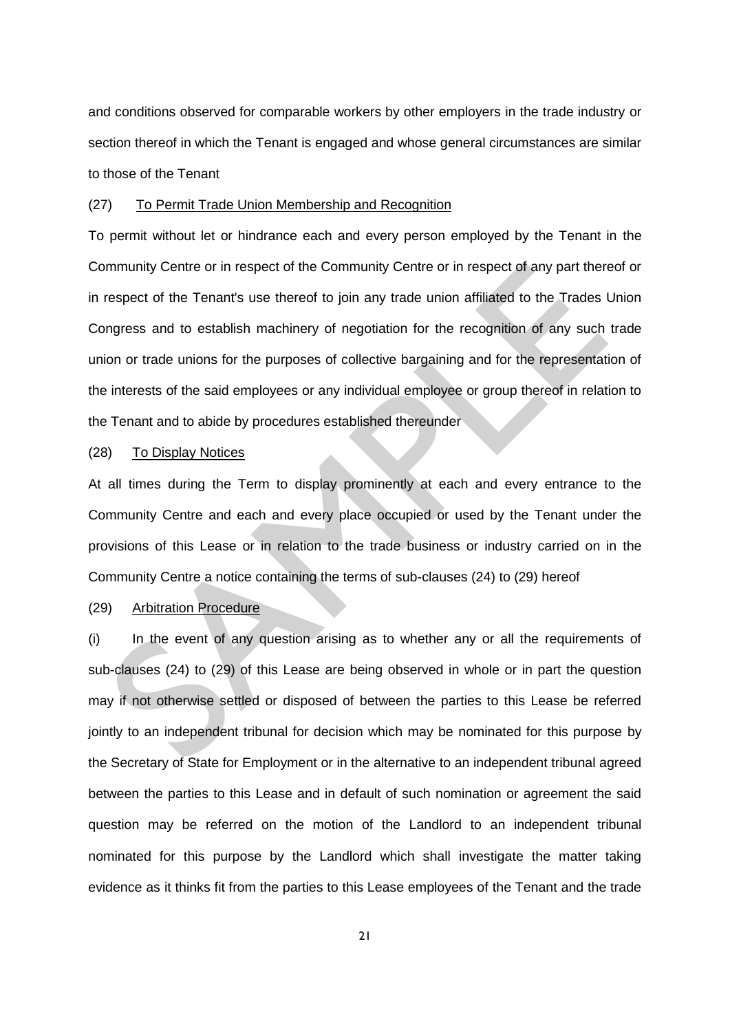and conditions observed for comparable workers by other employers in the trade industry or section thereof in which the Tenant is engaged and whose general circumstances are similar to those of the Tenant

### (27) To Permit Trade Union Membership and Recognition

To permit without let or hindrance each and every person employed by the Tenant in the Community Centre or in respect of the Community Centre or in respect of any part thereof or in respect of the Tenant's use thereof to join any trade union affiliated to the Trades Union Congress and to establish machinery of negotiation for the recognition of any such trade union or trade unions for the purposes of collective bargaining and for the representation of the interests of the said employees or any individual employee or group thereof in relation to the Tenant and to abide by procedures established thereunder

## (28) To Display Notices

At all times during the Term to display prominently at each and every entrance to the Community Centre and each and every place occupied or used by the Tenant under the provisions of this Lease or in relation to the trade business or industry carried on in the Community Centre a notice containing the terms of sub-clauses (24) to (29) hereof

#### (29) Arbitration Procedure

(i) In the event of any question arising as to whether any or all the requirements of sub-clauses (24) to (29) of this Lease are being observed in whole or in part the question may if not otherwise settled or disposed of between the parties to this Lease be referred jointly to an independent tribunal for decision which may be nominated for this purpose by the Secretary of State for Employment or in the alternative to an independent tribunal agreed between the parties to this Lease and in default of such nomination or agreement the said question may be referred on the motion of the Landlord to an independent tribunal nominated for this purpose by the Landlord which shall investigate the matter taking evidence as it thinks fit from the parties to this Lease employees of the Tenant and the trade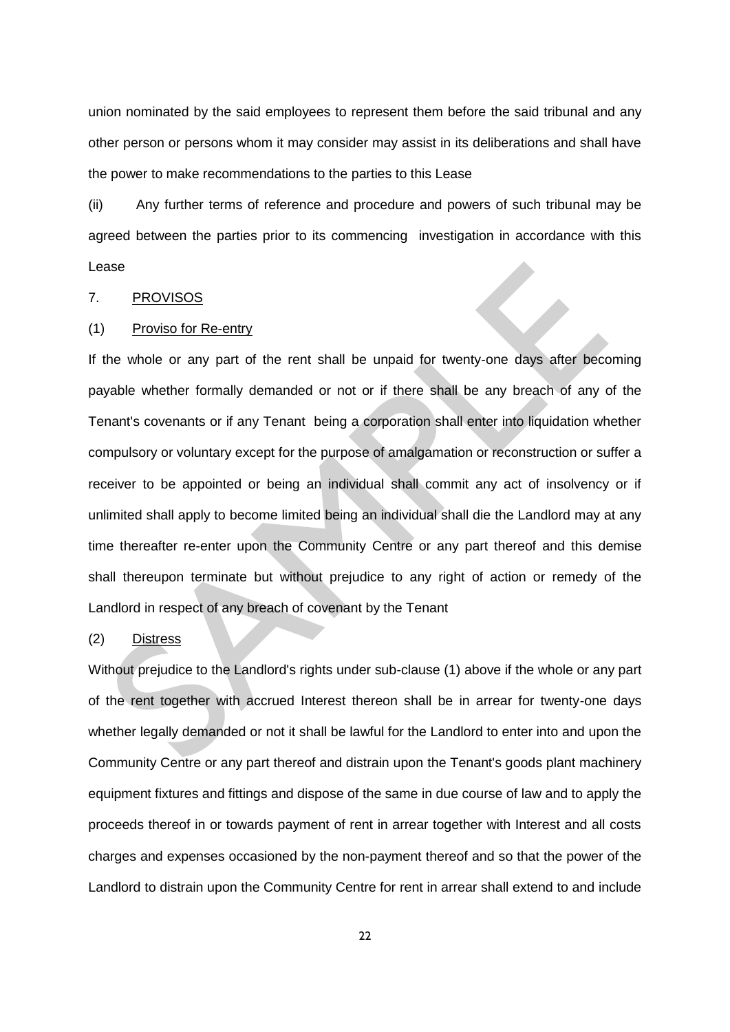union nominated by the said employees to represent them before the said tribunal and any other person or persons whom it may consider may assist in its deliberations and shall have the power to make recommendations to the parties to this Lease

(ii) Any further terms of reference and procedure and powers of such tribunal may be agreed between the parties prior to its commencing investigation in accordance with this Lease

### 7. PROVISOS

## (1) Proviso for Re-entry

If the whole or any part of the rent shall be unpaid for twenty-one days after becoming payable whether formally demanded or not or if there shall be any breach of any of the Tenant's covenants or if any Tenant being a corporation shall enter into liquidation whether compulsory or voluntary except for the purpose of amalgamation or reconstruction or suffer a receiver to be appointed or being an individual shall commit any act of insolvency or if unlimited shall apply to become limited being an individual shall die the Landlord may at any time thereafter re-enter upon the Community Centre or any part thereof and this demise shall thereupon terminate but without prejudice to any right of action or remedy of the Landlord in respect of any breach of covenant by the Tenant

### (2) Distress

Without prejudice to the Landlord's rights under sub-clause (1) above if the whole or any part of the rent together with accrued Interest thereon shall be in arrear for twenty-one days whether legally demanded or not it shall be lawful for the Landlord to enter into and upon the Community Centre or any part thereof and distrain upon the Tenant's goods plant machinery equipment fixtures and fittings and dispose of the same in due course of law and to apply the proceeds thereof in or towards payment of rent in arrear together with Interest and all costs charges and expenses occasioned by the non-payment thereof and so that the power of the Landlord to distrain upon the Community Centre for rent in arrear shall extend to and include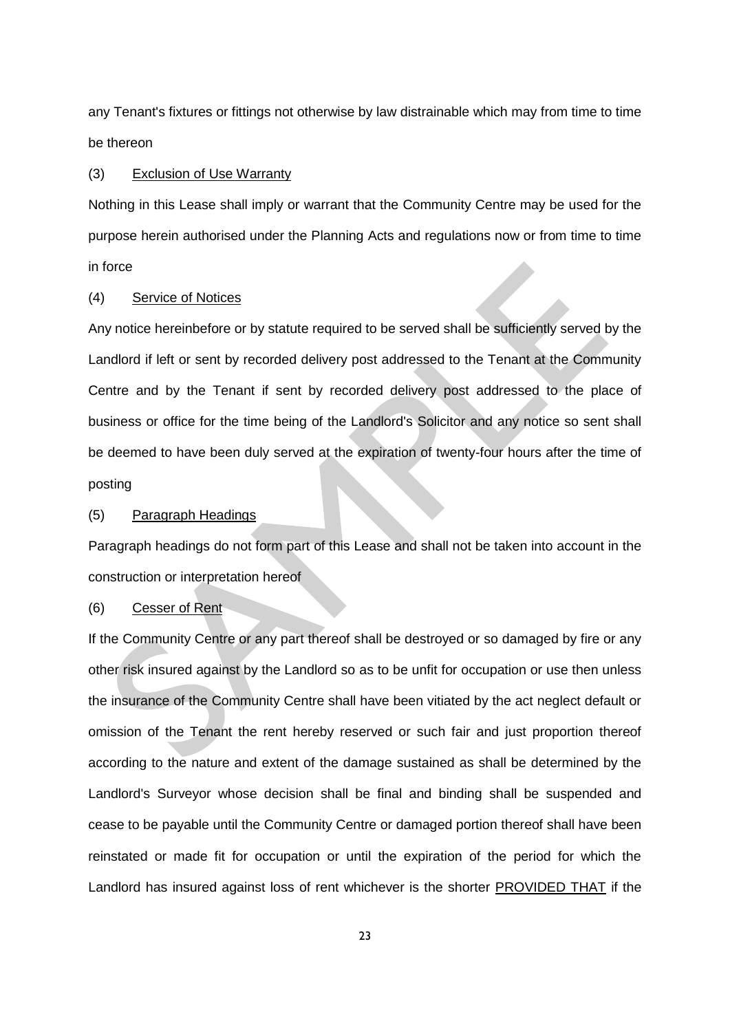any Tenant's fixtures or fittings not otherwise by law distrainable which may from time to time be thereon

#### (3) Exclusion of Use Warranty

Nothing in this Lease shall imply or warrant that the Community Centre may be used for the purpose herein authorised under the Planning Acts and regulations now or from time to time in force

### (4) Service of Notices

Any notice hereinbefore or by statute required to be served shall be sufficiently served by the Landlord if left or sent by recorded delivery post addressed to the Tenant at the Community Centre and by the Tenant if sent by recorded delivery post addressed to the place of business or office for the time being of the Landlord's Solicitor and any notice so sent shall be deemed to have been duly served at the expiration of twenty-four hours after the time of posting

### (5) Paragraph Headings

Paragraph headings do not form part of this Lease and shall not be taken into account in the construction or interpretation hereof

#### (6) Cesser of Rent

If the Community Centre or any part thereof shall be destroyed or so damaged by fire or any other risk insured against by the Landlord so as to be unfit for occupation or use then unless the insurance of the Community Centre shall have been vitiated by the act neglect default or omission of the Tenant the rent hereby reserved or such fair and just proportion thereof according to the nature and extent of the damage sustained as shall be determined by the Landlord's Surveyor whose decision shall be final and binding shall be suspended and cease to be payable until the Community Centre or damaged portion thereof shall have been reinstated or made fit for occupation or until the expiration of the period for which the Landlord has insured against loss of rent whichever is the shorter PROVIDED THAT if the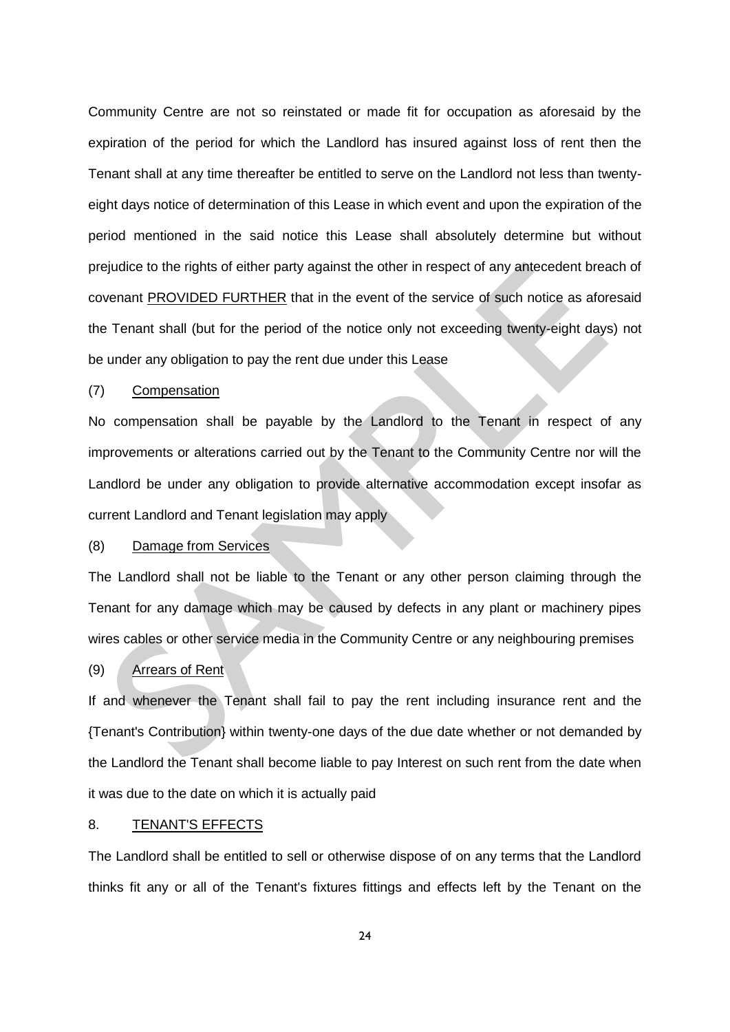Community Centre are not so reinstated or made fit for occupation as aforesaid by the expiration of the period for which the Landlord has insured against loss of rent then the Tenant shall at any time thereafter be entitled to serve on the Landlord not less than twentyeight days notice of determination of this Lease in which event and upon the expiration of the period mentioned in the said notice this Lease shall absolutely determine but without prejudice to the rights of either party against the other in respect of any antecedent breach of covenant PROVIDED FURTHER that in the event of the service of such notice as aforesaid the Tenant shall (but for the period of the notice only not exceeding twenty-eight days) not be under any obligation to pay the rent due under this Lease

### (7) Compensation

No compensation shall be payable by the Landlord to the Tenant in respect of any improvements or alterations carried out by the Tenant to the Community Centre nor will the Landlord be under any obligation to provide alternative accommodation except insofar as current Landlord and Tenant legislation may apply

### (8) Damage from Services

The Landlord shall not be liable to the Tenant or any other person claiming through the Tenant for any damage which may be caused by defects in any plant or machinery pipes wires cables or other service media in the Community Centre or any neighbouring premises

## (9) Arrears of Rent

If and whenever the Tenant shall fail to pay the rent including insurance rent and the {Tenant's Contribution} within twenty-one days of the due date whether or not demanded by the Landlord the Tenant shall become liable to pay Interest on such rent from the date when it was due to the date on which it is actually paid

### 8. TENANT'S EFFECTS

The Landlord shall be entitled to sell or otherwise dispose of on any terms that the Landlord thinks fit any or all of the Tenant's fixtures fittings and effects left by the Tenant on the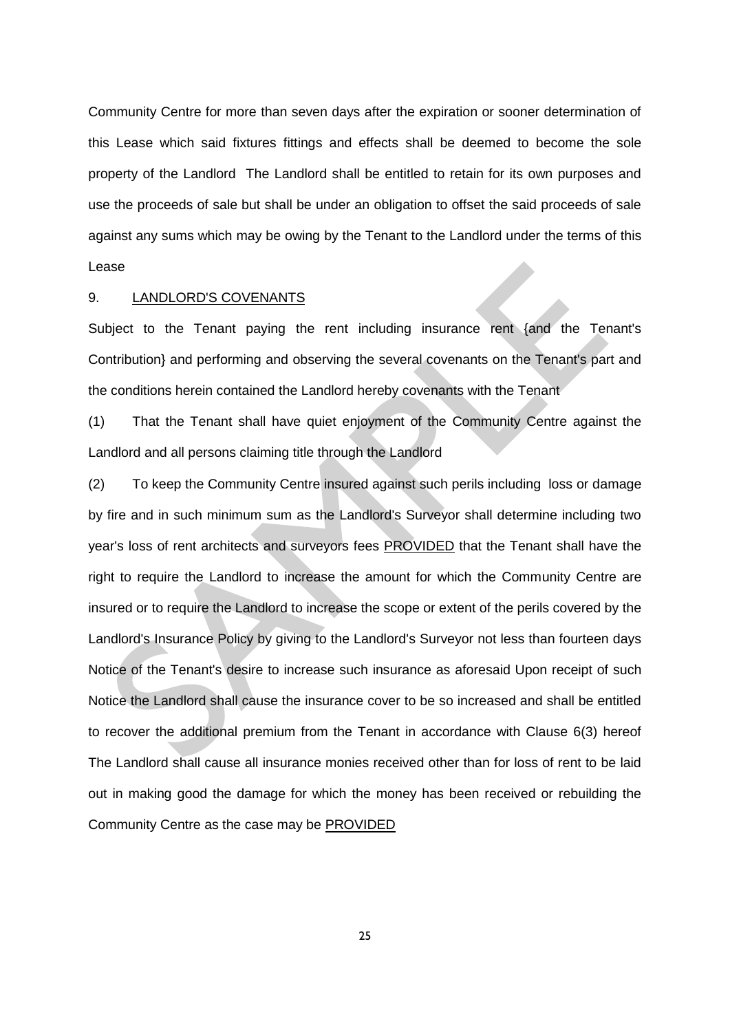Community Centre for more than seven days after the expiration or sooner determination of this Lease which said fixtures fittings and effects shall be deemed to become the sole property of the Landlord The Landlord shall be entitled to retain for its own purposes and use the proceeds of sale but shall be under an obligation to offset the said proceeds of sale against any sums which may be owing by the Tenant to the Landlord under the terms of this Lease

### 9. LANDLORD'S COVENANTS

Subject to the Tenant paying the rent including insurance rent {and the Tenant's Contribution} and performing and observing the several covenants on the Tenant's part and the conditions herein contained the Landlord hereby covenants with the Tenant

(1) That the Tenant shall have quiet enjoyment of the Community Centre against the Landlord and all persons claiming title through the Landlord

(2) To keep the Community Centre insured against such perils including loss or damage by fire and in such minimum sum as the Landlord's Surveyor shall determine including two year's loss of rent architects and surveyors fees PROVIDED that the Tenant shall have the right to require the Landlord to increase the amount for which the Community Centre are insured or to require the Landlord to increase the scope or extent of the perils covered by the Landlord's Insurance Policy by giving to the Landlord's Surveyor not less than fourteen days Notice of the Tenant's desire to increase such insurance as aforesaid Upon receipt of such Notice the Landlord shall cause the insurance cover to be so increased and shall be entitled to recover the additional premium from the Tenant in accordance with Clause 6(3) hereof The Landlord shall cause all insurance monies received other than for loss of rent to be laid out in making good the damage for which the money has been received or rebuilding the Community Centre as the case may be PROVIDED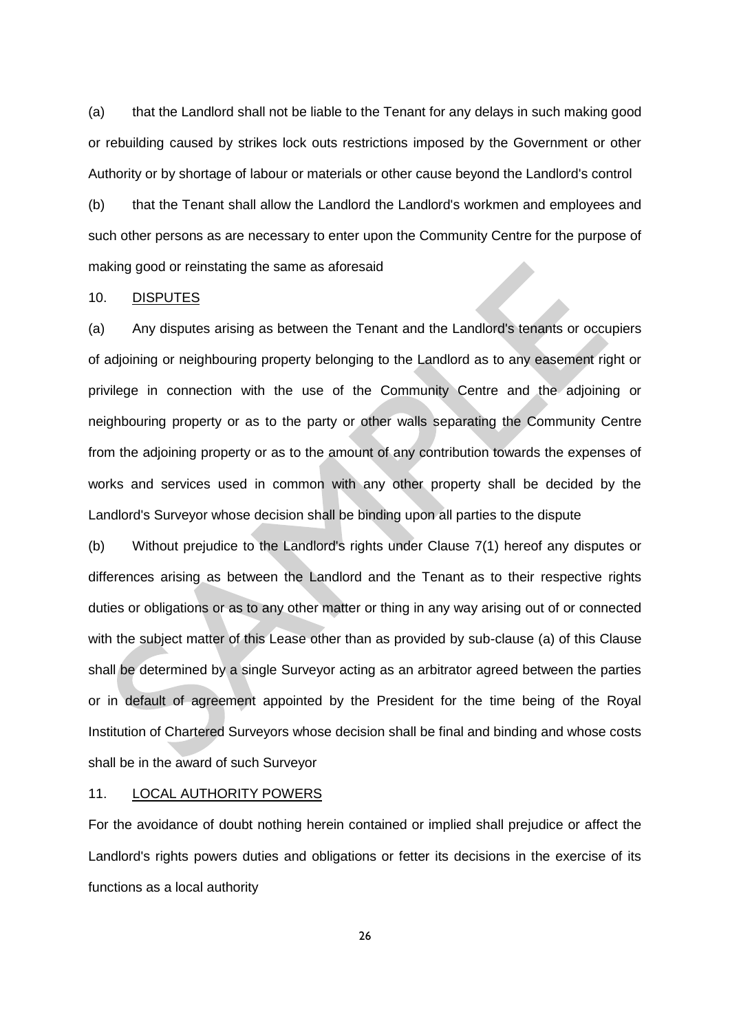(a) that the Landlord shall not be liable to the Tenant for any delays in such making good or rebuilding caused by strikes lock outs restrictions imposed by the Government or other Authority or by shortage of labour or materials or other cause beyond the Landlord's control

(b) that the Tenant shall allow the Landlord the Landlord's workmen and employees and such other persons as are necessary to enter upon the Community Centre for the purpose of making good or reinstating the same as aforesaid

#### 10. DISPUTES

(a) Any disputes arising as between the Tenant and the Landlord's tenants or occupiers of adjoining or neighbouring property belonging to the Landlord as to any easement right or privilege in connection with the use of the Community Centre and the adjoining or neighbouring property or as to the party or other walls separating the Community Centre from the adjoining property or as to the amount of any contribution towards the expenses of works and services used in common with any other property shall be decided by the Landlord's Surveyor whose decision shall be binding upon all parties to the dispute

(b) Without prejudice to the Landlord's rights under Clause 7(1) hereof any disputes or differences arising as between the Landlord and the Tenant as to their respective rights duties or obligations or as to any other matter or thing in any way arising out of or connected with the subject matter of this Lease other than as provided by sub-clause (a) of this Clause shall be determined by a single Surveyor acting as an arbitrator agreed between the parties or in default of agreement appointed by the President for the time being of the Royal Institution of Chartered Surveyors whose decision shall be final and binding and whose costs shall be in the award of such Surveyor

#### 11. LOCAL AUTHORITY POWERS

For the avoidance of doubt nothing herein contained or implied shall prejudice or affect the Landlord's rights powers duties and obligations or fetter its decisions in the exercise of its functions as a local authority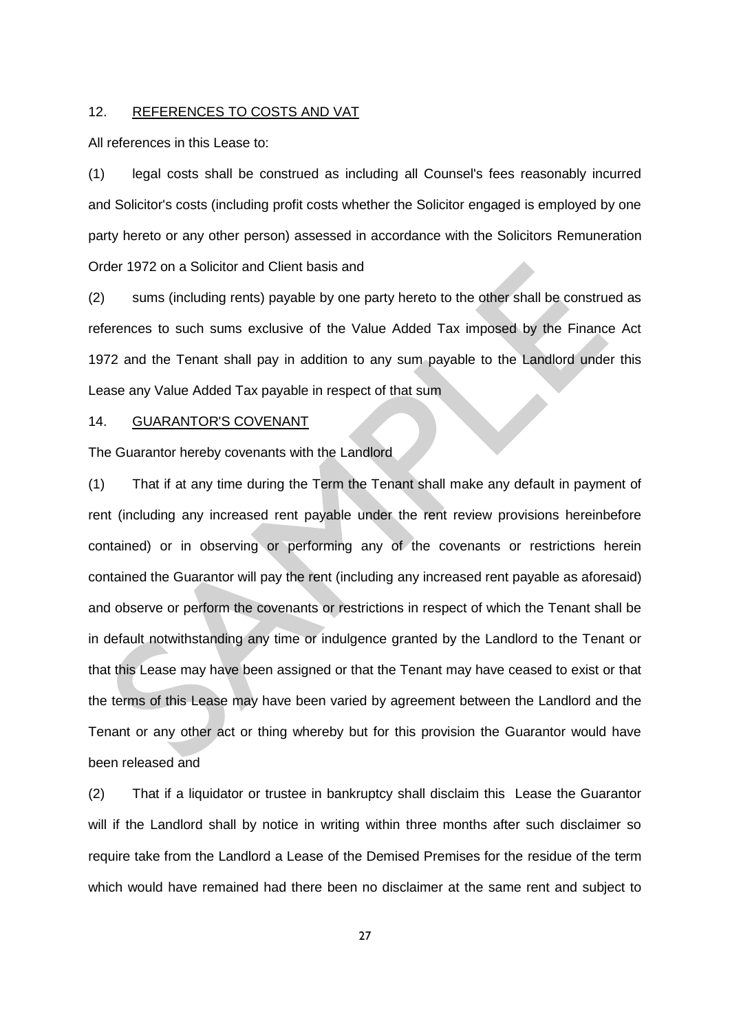### 12. REFERENCES TO COSTS AND VAT

All references in this Lease to:

(1) legal costs shall be construed as including all Counsel's fees reasonably incurred and Solicitor's costs (including profit costs whether the Solicitor engaged is employed by one party hereto or any other person) assessed in accordance with the Solicitors Remuneration Order 1972 on a Solicitor and Client basis and

(2) sums (including rents) payable by one party hereto to the other shall be construed as references to such sums exclusive of the Value Added Tax imposed by the Finance Act 1972 and the Tenant shall pay in addition to any sum payable to the Landlord under this Lease any Value Added Tax payable in respect of that sum

#### 14. GUARANTOR'S COVENANT

The Guarantor hereby covenants with the Landlord

(1) That if at any time during the Term the Tenant shall make any default in payment of rent (including any increased rent payable under the rent review provisions hereinbefore contained) or in observing or performing any of the covenants or restrictions herein contained the Guarantor will pay the rent (including any increased rent payable as aforesaid) and observe or perform the covenants or restrictions in respect of which the Tenant shall be in default notwithstanding any time or indulgence granted by the Landlord to the Tenant or that this Lease may have been assigned or that the Tenant may have ceased to exist or that the terms of this Lease may have been varied by agreement between the Landlord and the Tenant or any other act or thing whereby but for this provision the Guarantor would have been released and

(2) That if a liquidator or trustee in bankruptcy shall disclaim this Lease the Guarantor will if the Landlord shall by notice in writing within three months after such disclaimer so require take from the Landlord a Lease of the Demised Premises for the residue of the term which would have remained had there been no disclaimer at the same rent and subject to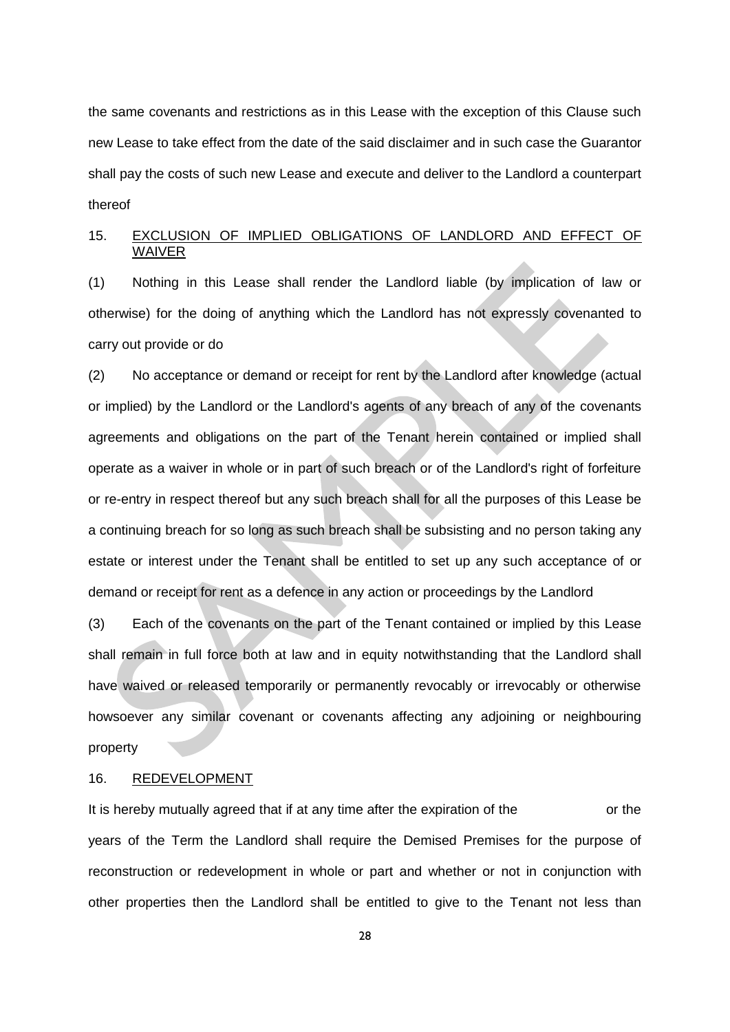the same covenants and restrictions as in this Lease with the exception of this Clause such new Lease to take effect from the date of the said disclaimer and in such case the Guarantor shall pay the costs of such new Lease and execute and deliver to the Landlord a counterpart thereof

# 15. EXCLUSION OF IMPLIED OBLIGATIONS OF LANDLORD AND EFFECT OF WAIVER

(1) Nothing in this Lease shall render the Landlord liable (by implication of law or otherwise) for the doing of anything which the Landlord has not expressly covenanted to carry out provide or do

(2) No acceptance or demand or receipt for rent by the Landlord after knowledge (actual or implied) by the Landlord or the Landlord's agents of any breach of any of the covenants agreements and obligations on the part of the Tenant herein contained or implied shall operate as a waiver in whole or in part of such breach or of the Landlord's right of forfeiture or re-entry in respect thereof but any such breach shall for all the purposes of this Lease be a continuing breach for so long as such breach shall be subsisting and no person taking any estate or interest under the Tenant shall be entitled to set up any such acceptance of or demand or receipt for rent as a defence in any action or proceedings by the Landlord

(3) Each of the covenants on the part of the Tenant contained or implied by this Lease shall remain in full force both at law and in equity notwithstanding that the Landlord shall have waived or released temporarily or permanently revocably or irrevocably or otherwise howsoever any similar covenant or covenants affecting any adjoining or neighbouring property

### 16. REDEVELOPMENT

It is hereby mutually agreed that if at any time after the expiration of the or the years of the Term the Landlord shall require the Demised Premises for the purpose of reconstruction or redevelopment in whole or part and whether or not in conjunction with other properties then the Landlord shall be entitled to give to the Tenant not less than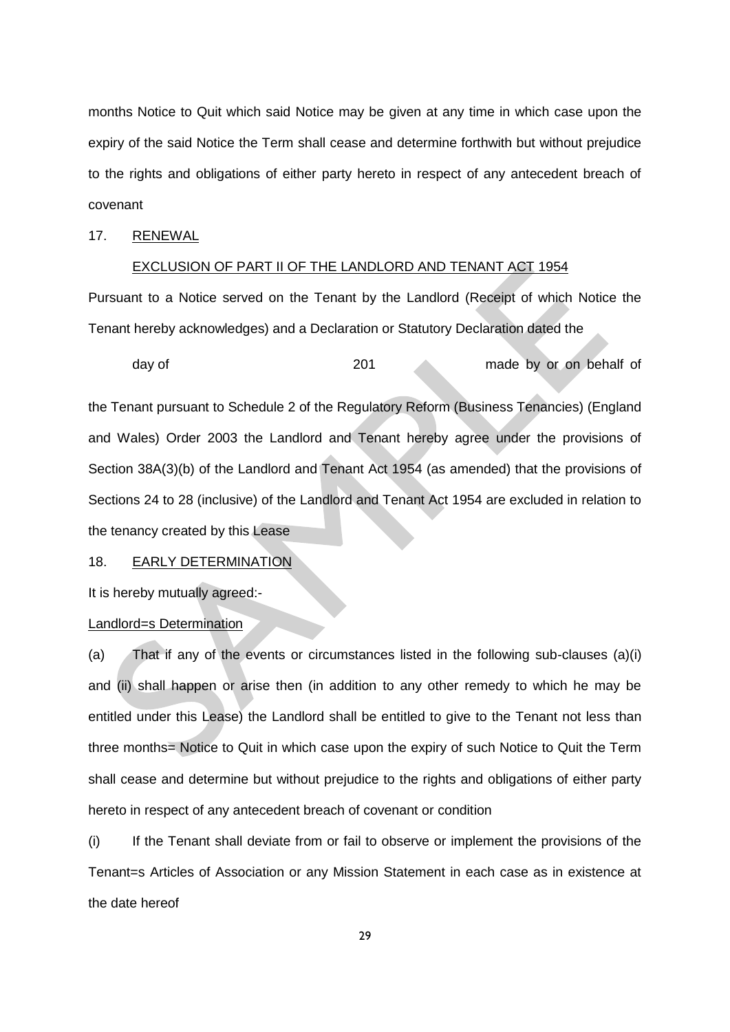months Notice to Quit which said Notice may be given at any time in which case upon the expiry of the said Notice the Term shall cease and determine forthwith but without prejudice to the rights and obligations of either party hereto in respect of any antecedent breach of covenant

## 17. RENEWAL

### EXCLUSION OF PART II OF THE LANDLORD AND TENANT ACT 1954

Pursuant to a Notice served on the Tenant by the Landlord (Receipt of which Notice the Tenant hereby acknowledges) and a Declaration or Statutory Declaration dated the

day of the 201 made by or on behalf of

the Tenant pursuant to Schedule 2 of the Regulatory Reform (Business Tenancies) (England and Wales) Order 2003 the Landlord and Tenant hereby agree under the provisions of Section 38A(3)(b) of the Landlord and Tenant Act 1954 (as amended) that the provisions of Sections 24 to 28 (inclusive) of the Landlord and Tenant Act 1954 are excluded in relation to the tenancy created by this Lease

18. EARLY DETERMINATION

It is hereby mutually agreed:-

Landlord=s Determination

(a) That if any of the events or circumstances listed in the following sub-clauses (a)(i) and (ii) shall happen or arise then (in addition to any other remedy to which he may be entitled under this Lease) the Landlord shall be entitled to give to the Tenant not less than three months= Notice to Quit in which case upon the expiry of such Notice to Quit the Term shall cease and determine but without prejudice to the rights and obligations of either party hereto in respect of any antecedent breach of covenant or condition

(i) If the Tenant shall deviate from or fail to observe or implement the provisions of the Tenant=s Articles of Association or any Mission Statement in each case as in existence at the date hereof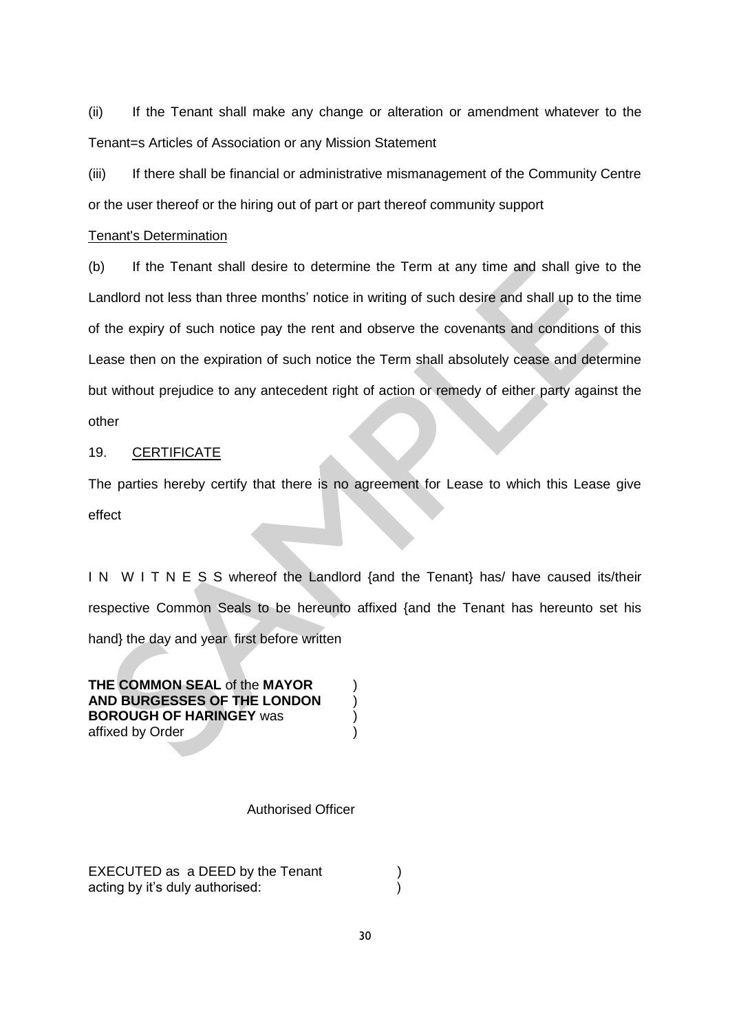(ii) If the Tenant shall make any change or alteration or amendment whatever to the Tenant=s Articles of Association or any Mission Statement

(iii) If there shall be financial or administrative mismanagement of the Community Centre or the user thereof or the hiring out of part or part thereof community support

### Tenant's Determination

(b) If the Tenant shall desire to determine the Term at any time and shall give to the Landlord not less than three months' notice in writing of such desire and shall up to the time of the expiry of such notice pay the rent and observe the covenants and conditions of this Lease then on the expiration of such notice the Term shall absolutely cease and determine but without prejudice to any antecedent right of action or remedy of either party against the other

# 19. CERTIFICATE

The parties hereby certify that there is no agreement for Lease to which this Lease give effect

I N W I T N E S S whereof the Landlord {and the Tenant} has/ have caused its/their respective Common Seals to be hereunto affixed {and the Tenant has hereunto set his hand} the day and year first before written

**THE COMMON SEAL** of the **MAYOR** ) **AND BURGESSES OF THE LONDON** ) **BOROUGH OF HARINGEY** was ) affixed by Order (1999)

### Authorised Officer

EXECUTED as a DEED by the Tenant acting by it's duly authorised: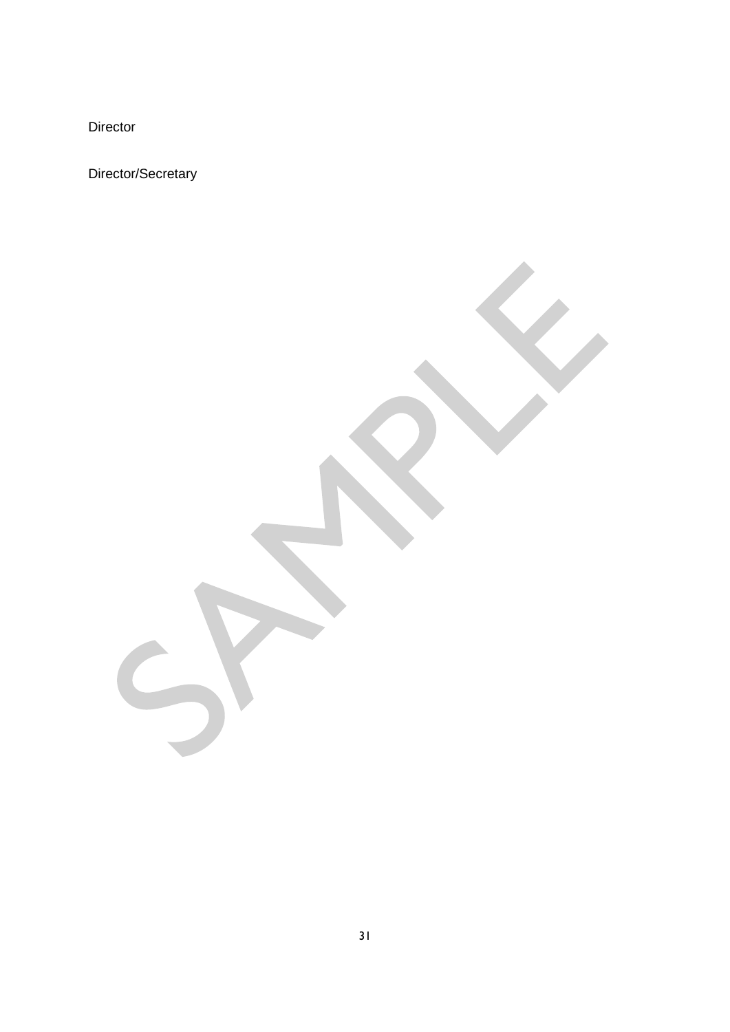Director

Director/Secretary